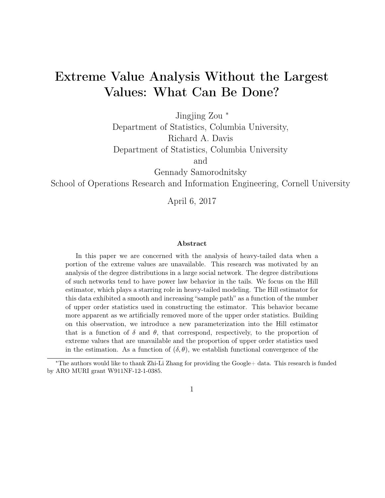# Extreme Value Analysis Without the Largest Values: What Can Be Done?

Jingjing Zou <sup>∗</sup>

Department of Statistics, Columbia University, Richard A. Davis Department of Statistics, Columbia University

and

Gennady Samorodnitsky

School of Operations Research and Information Engineering, Cornell University

April 6, 2017

#### Abstract

In this paper we are concerned with the analysis of heavy-tailed data when a portion of the extreme values are unavailable. This research was motivated by an analysis of the degree distributions in a large social network. The degree distributions of such networks tend to have power law behavior in the tails. We focus on the Hill estimator, which plays a starring role in heavy-tailed modeling. The Hill estimator for this data exhibited a smooth and increasing "sample path" as a function of the number of upper order statistics used in constructing the estimator. This behavior became more apparent as we artificially removed more of the upper order statistics. Building on this observation, we introduce a new parameterization into the Hill estimator that is a function of  $\delta$  and  $\theta$ , that correspond, respectively, to the proportion of extreme values that are unavailable and the proportion of upper order statistics used in the estimation. As a function of  $(\delta, \theta)$ , we establish functional convergence of the

<sup>∗</sup>The authors would like to thank Zhi-Li Zhang for providing the Google+ data. This research is funded by ARO MURI grant W911NF-12-1-0385.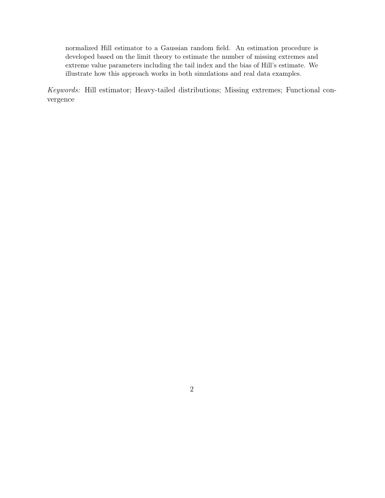normalized Hill estimator to a Gaussian random field. An estimation procedure is developed based on the limit theory to estimate the number of missing extremes and extreme value parameters including the tail index and the bias of Hill's estimate. We illustrate how this approach works in both simulations and real data examples.

Keywords: Hill estimator; Heavy-tailed distributions; Missing extremes; Functional convergence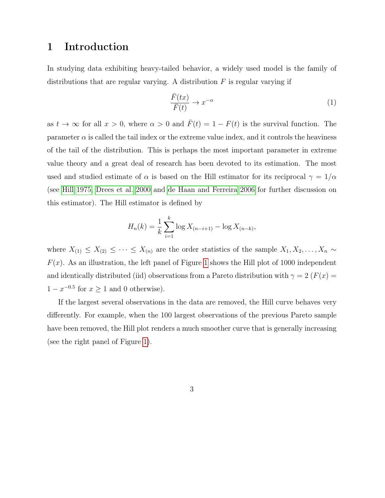### <span id="page-2-1"></span>1 Introduction

In studying data exhibiting heavy-tailed behavior, a widely used model is the family of distributions that are regular varying. A distribution  $F$  is regular varying if

<span id="page-2-0"></span>
$$
\frac{\bar{F}(tx)}{\bar{F}(t)} \to x^{-\alpha} \tag{1}
$$

as  $t \to \infty$  for all  $x > 0$ , where  $\alpha > 0$  and  $\overline{F}(t) = 1 - F(t)$  is the survival function. The parameter  $\alpha$  is called the tail index or the extreme value index, and it controls the heaviness of the tail of the distribution. This is perhaps the most important parameter in extreme value theory and a great deal of research has been devoted to its estimation. The most used and studied estimate of  $\alpha$  is based on the Hill estimator for its reciprocal  $\gamma = 1/\alpha$ (see [Hill 1975,](#page-39-0) [Drees et al. 2000](#page-39-1) and [de Haan and Ferreira 2006](#page-39-2) for further discussion on this estimator). The Hill estimator is defined by

$$
H_n(k) = \frac{1}{k} \sum_{i=1}^k \log X_{(n-i+1)} - \log X_{(n-k)},
$$

where  $X_{(1)} \leq X_{(2)} \leq \cdots \leq X_{(n)}$  are the order statistics of the sample  $X_1, X_2, \ldots, X_n \sim$  $F(x)$ . As an illustration, the left panel of Figure [1](#page-3-0) shows the Hill plot of 1000 independent and identically distributed (iid) observations from a Pareto distribution with  $\gamma = 2$  ( $F(x) =$  $1 - x^{-0.5}$  for  $x \ge 1$  and 0 otherwise).

If the largest several observations in the data are removed, the Hill curve behaves very differently. For example, when the 100 largest observations of the previous Pareto sample have been removed, the Hill plot renders a much smoother curve that is generally increasing (see the right panel of Figure [1\)](#page-3-0).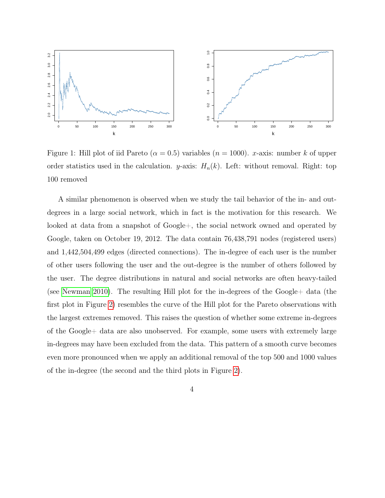

<span id="page-3-0"></span>Figure 1: Hill plot of iid Pareto ( $\alpha = 0.5$ ) variables ( $n = 1000$ ). x-axis: number k of upper order statistics used in the calculation. y-axis:  $H_n(k)$ . Left: without removal. Right: top 100 removed

A similar phenomenon is observed when we study the tail behavior of the in- and outdegrees in a large social network, which in fact is the motivation for this research. We looked at data from a snapshot of Google+, the social network owned and operated by Google, taken on October 19, 2012. The data contain 76,438,791 nodes (registered users) and 1,442,504,499 edges (directed connections). The in-degree of each user is the number of other users following the user and the out-degree is the number of others followed by the user. The degree distributions in natural and social networks are often heavy-tailed (see [Newman 2010\)](#page-39-3). The resulting Hill plot for the in-degrees of the Google+ data (the first plot in Figure [2\)](#page-4-0) resembles the curve of the Hill plot for the Pareto observations with the largest extremes removed. This raises the question of whether some extreme in-degrees of the Google+ data are also unobserved. For example, some users with extremely large in-degrees may have been excluded from the data. This pattern of a smooth curve becomes even more pronounced when we apply an additional removal of the top 500 and 1000 values of the in-degree (the second and the third plots in Figure [2\)](#page-4-0).

4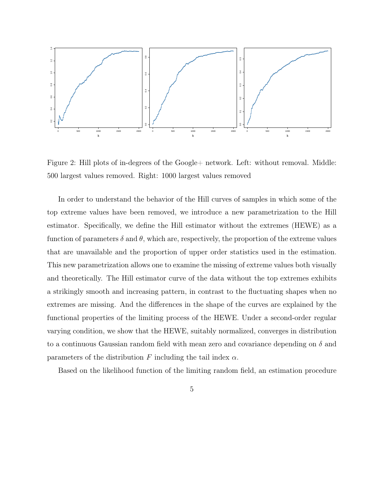

<span id="page-4-0"></span>Figure 2: Hill plots of in-degrees of the Google+ network. Left: without removal. Middle: 500 largest values removed. Right: 1000 largest values removed

In order to understand the behavior of the Hill curves of samples in which some of the top extreme values have been removed, we introduce a new parametrization to the Hill estimator. Specifically, we define the Hill estimator without the extremes (HEWE) as a function of parameters  $\delta$  and  $\theta$ , which are, respectively, the proportion of the extreme values that are unavailable and the proportion of upper order statistics used in the estimation. This new parametrization allows one to examine the missing of extreme values both visually and theoretically. The Hill estimator curve of the data without the top extremes exhibits a strikingly smooth and increasing pattern, in contrast to the fluctuating shapes when no extremes are missing. And the differences in the shape of the curves are explained by the functional properties of the limiting process of the HEWE. Under a second-order regular varying condition, we show that the HEWE, suitably normalized, converges in distribution to a continuous Gaussian random field with mean zero and covariance depending on  $\delta$  and parameters of the distribution F including the tail index  $\alpha$ .

Based on the likelihood function of the limiting random field, an estimation procedure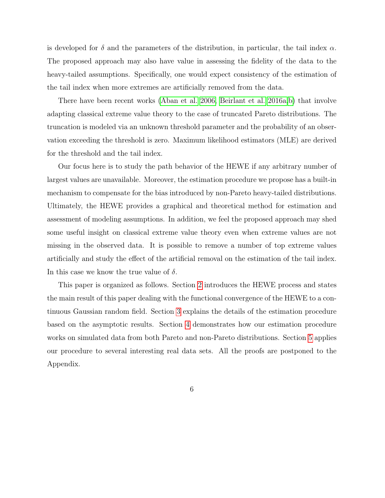is developed for  $\delta$  and the parameters of the distribution, in particular, the tail index  $\alpha$ . The proposed approach may also have value in assessing the fidelity of the data to the heavy-tailed assumptions. Specifically, one would expect consistency of the estimation of the tail index when more extremes are artificially removed from the data.

There have been recent works [\(Aban et al. 2006,](#page-38-0) [Beirlant et al. 2016a,](#page-38-1)[b\)](#page-38-2) that involve adapting classical extreme value theory to the case of truncated Pareto distributions. The truncation is modeled via an unknown threshold parameter and the probability of an observation exceeding the threshold is zero. Maximum likelihood estimators (MLE) are derived for the threshold and the tail index.

Our focus here is to study the path behavior of the HEWE if any arbitrary number of largest values are unavailable. Moreover, the estimation procedure we propose has a built-in mechanism to compensate for the bias introduced by non-Pareto heavy-tailed distributions. Ultimately, the HEWE provides a graphical and theoretical method for estimation and assessment of modeling assumptions. In addition, we feel the proposed approach may shed some useful insight on classical extreme value theory even when extreme values are not missing in the observed data. It is possible to remove a number of top extreme values artificially and study the effect of the artificial removal on the estimation of the tail index. In this case we know the true value of  $\delta$ .

This paper is organized as follows. Section [2](#page-6-0) introduces the HEWE process and states the main result of this paper dealing with the functional convergence of the HEWE to a continuous Gaussian random field. Section [3](#page-10-0) explains the details of the estimation procedure based on the asymptotic results. Section [4](#page-13-0) demonstrates how our estimation procedure works on simulated data from both Pareto and non-Pareto distributions. Section [5](#page-19-0) applies our procedure to several interesting real data sets. All the proofs are postponed to the Appendix.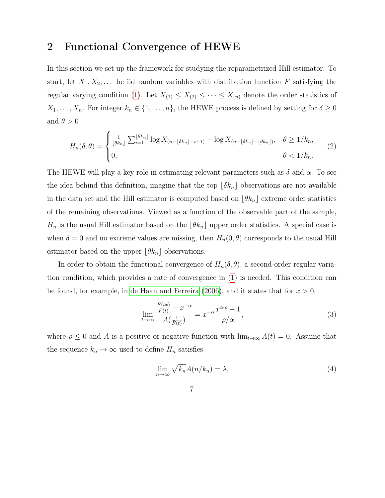# <span id="page-6-0"></span>2 Functional Convergence of HEWE

In this section we set up the framework for studying the reparametrized Hill estimator. To start, let  $X_1, X_2, \ldots$  be iid random variables with distribution function F satisfying the regular varying condition [\(1\)](#page-2-0). Let  $X_{(1)} \leq X_{(2)} \leq \cdots \leq X_{(n)}$  denote the order statistics of  $X_1, \ldots, X_n$ . For integer  $k_n \in \{1, \ldots, n\}$ , the HEWE process is defined by setting for  $\delta \geq 0$ and  $\theta > 0$ 

$$
H_n(\delta,\theta) = \begin{cases} \frac{1}{\lfloor \theta k_n \rfloor} \sum_{i=1}^{\lfloor \theta k_n \rfloor} \log X_{(n-\lfloor \delta k_n \rfloor - i+1)} - \log X_{(n-\lfloor \delta k_n \rfloor - \lfloor \theta k_n \rfloor)}, & \theta \ge 1/k_n, \\ 0, & \theta < 1/k_n. \end{cases} \tag{2}
$$

The HEWE will play a key role in estimating relevant parameters such as  $\delta$  and  $\alpha$ . To see the idea behind this definition, imagine that the top  $\lfloor \delta k_n \rfloor$  observations are not available in the data set and the Hill estimator is computed based on  $\lfloor \theta k_n \rfloor$  extreme order statistics of the remaining observations. Viewed as a function of the observable part of the sample,  $H_n$  is the usual Hill estimator based on the  $\lfloor \theta k_n \rfloor$  upper order statistics. A special case is when  $\delta = 0$  and no extreme values are missing, then  $H_n(0, \theta)$  corresponds to the usual Hill estimator based on the upper  $\lfloor \theta k_n \rfloor$  observations.

In order to obtain the functional convergence of  $H_n(\delta, \theta)$ , a second-order regular variation condition, which provides a rate of convergence in [\(1\)](#page-2-0) is needed. This condition can be found, for example, in [de Haan and Ferreira](#page-39-2) [\(2006\)](#page-39-2), and it states that for  $x > 0$ ,

<span id="page-6-2"></span>
$$
\lim_{t \to \infty} \frac{\frac{\bar{F}(tx)}{\bar{F}(t)} - x^{-\alpha}}{A(\frac{1}{\bar{F}(t)})} = x^{-\alpha} \frac{x^{\alpha \cdot \rho} - 1}{\rho/\alpha},\tag{3}
$$

where  $\rho \leq 0$  and A is a positive or negative function with  $\lim_{t\to\infty} A(t) = 0$ . Assume that the sequence  $k_n \to \infty$  used to define  $H_n$  satisfies

<span id="page-6-1"></span>
$$
\lim_{n \to \infty} \sqrt{k_n} A(n/k_n) = \lambda,\tag{4}
$$

$$
7\,
$$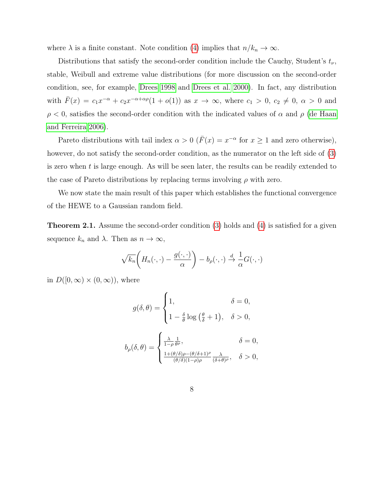where  $\lambda$  is a finite constant. Note condition [\(4\)](#page-6-1) implies that  $n/k_n \to \infty$ .

Distributions that satisfy the second-order condition include the Cauchy, Student's  $t_{\nu}$ , stable, Weibull and extreme value distributions (for more discussion on the second-order condition, see, for example, [Drees 1998](#page-39-4) and [Drees et al. 2000\)](#page-39-1). In fact, any distribution with  $\bar{F}(x) = c_1 x^{-\alpha} + c_2 x^{-\alpha + \alpha \rho} (1 + o(1))$  as  $x \to \infty$ , where  $c_1 > 0$ ,  $c_2 \neq 0$ ,  $\alpha > 0$  and  $\rho < 0$ , satisfies the second-order condition with the indicated values of  $\alpha$  and  $\rho$  [\(de Haan](#page-39-2) [and Ferreira 2006\)](#page-39-2).

Pareto distributions with tail index  $\alpha > 0$  ( $\bar{F}(x) = x^{-\alpha}$  for  $x \ge 1$  and zero otherwise), however, do not satisfy the second-order condition, as the numerator on the left side of  $(3)$ is zero when  $t$  is large enough. As will be seen later, the results can be readily extended to the case of Pareto distributions by replacing terms involving  $\rho$  with zero.

We now state the main result of this paper which establishes the functional convergence of the HEWE to a Gaussian random field.

<span id="page-7-0"></span>Theorem 2.1. Assume the second-order condition [\(3\)](#page-6-2) holds and [\(4\)](#page-6-1) is satisfied for a given sequence  $k_n$  and  $\lambda$ . Then as  $n \to \infty$ ,

$$
\sqrt{k_n}\bigg(H_n(\cdot,\cdot)-\frac{g(\cdot,\cdot)}{\alpha}\bigg)-b_\rho(\cdot,\cdot)\overset{d}{\to}\frac{1}{\alpha}G(\cdot,\cdot)
$$

in  $D([0,\infty) \times (0,\infty))$ , where

$$
g(\delta, \theta) = \begin{cases} 1, & \delta = 0, \\ 1 - \frac{\delta}{\theta} \log\left(\frac{\theta}{\delta} + 1\right), & \delta > 0, \end{cases}
$$

$$
b_{\rho}(\delta, \theta) = \begin{cases} \frac{\lambda}{1 - \rho} \frac{1}{\theta^{\rho}}, & \delta = 0, \\ \frac{1 + (\theta/\delta)\rho - (\theta/\delta + 1)^{\rho}}{(\theta/\delta)(1 - \rho)\rho} \frac{\lambda}{(\delta + \theta)^{\rho}}, & \delta > 0, \end{cases}
$$

8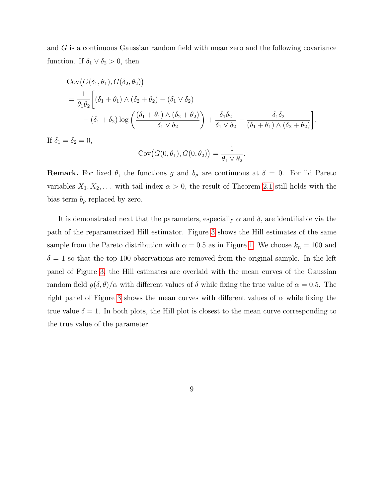and G is a continuous Gaussian random field with mean zero and the following covariance function. If  $\delta_1 \vee \delta_2 > 0$ , then

$$
\begin{split} &\text{Cov}\big(G(\delta_1,\theta_1),G(\delta_2,\theta_2)\big) \\ &= \frac{1}{\theta_1\theta_2} \bigg[ (\delta_1 + \theta_1) \wedge (\delta_2 + \theta_2) - (\delta_1 \vee \delta_2) \\ &- (\delta_1 + \delta_2) \log \bigg( \frac{(\delta_1 + \theta_1) \wedge (\delta_2 + \theta_2)}{\delta_1 \vee \delta_2} \bigg) + \frac{\delta_1 \delta_2}{\delta_1 \vee \delta_2} - \frac{\delta_1 \delta_2}{(\delta_1 + \theta_1) \wedge (\delta_2 + \theta_2)} \bigg]. \end{split}
$$

If  $\delta_1 = \delta_2 = 0$ ,

$$
Cov(G(0, \theta_1), G(0, \theta_2)) = \frac{1}{\theta_1 \vee \theta_2}.
$$

**Remark.** For fixed  $\theta$ , the functions g and  $b_{\rho}$  are continuous at  $\delta = 0$ . For iid Pareto variables  $X_1, X_2, \ldots$  with tail index  $\alpha > 0$ , the result of Theorem [2.1](#page-7-0) still holds with the bias term  $b_{\rho}$  replaced by zero.

It is demonstrated next that the parameters, especially  $\alpha$  and  $\delta$ , are identifiable via the path of the reparametrized Hill estimator. Figure [3](#page-9-0) shows the Hill estimates of the same sample from the Pareto distribution with  $\alpha = 0.5$  as in Figure [1.](#page-3-0) We choose  $k_n = 100$  and  $\delta = 1$  so that the top 100 observations are removed from the original sample. In the left panel of Figure [3,](#page-9-0) the Hill estimates are overlaid with the mean curves of the Gaussian random field  $g(\delta, \theta)/\alpha$  with different values of  $\delta$  while fixing the true value of  $\alpha = 0.5$ . The right panel of Figure [3](#page-9-0) shows the mean curves with different values of  $\alpha$  while fixing the true value  $\delta = 1$ . In both plots, the Hill plot is closest to the mean curve corresponding to the true value of the parameter.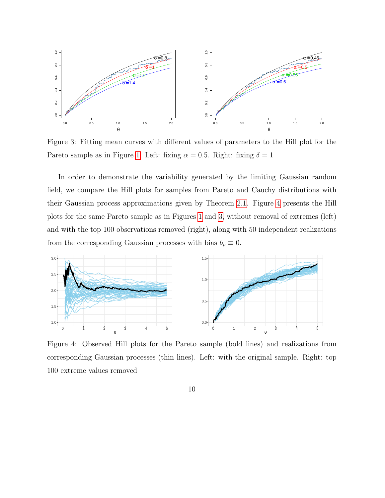

<span id="page-9-0"></span>Figure 3: Fitting mean curves with different values of parameters to the Hill plot for the Pareto sample as in Figure [1.](#page-3-0) Left: fixing  $\alpha = 0.5$ . Right: fixing  $\delta = 1$ 

In order to demonstrate the variability generated by the limiting Gaussian random field, we compare the Hill plots for samples from Pareto and Cauchy distributions with their Gaussian process approximations given by Theorem [2.1.](#page-7-0) Figure [4](#page-9-1) presents the Hill plots for the same Pareto sample as in Figures [1](#page-3-0) and [3,](#page-9-0) without removal of extremes (left) and with the top 100 observations removed (right), along with 50 independent realizations from the corresponding Gaussian processes with bias  $b_{\rho} \equiv 0$ .



<span id="page-9-1"></span>Figure 4: Observed Hill plots for the Pareto sample (bold lines) and realizations from corresponding Gaussian processes (thin lines). Left: with the original sample. Right: top 100 extreme values removed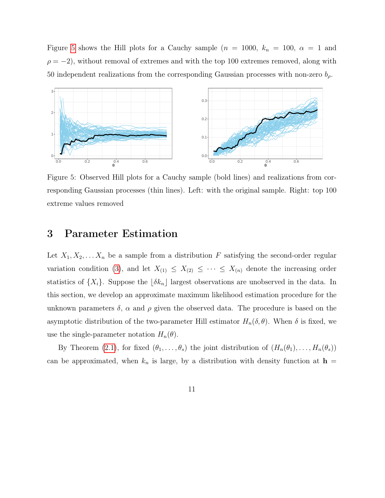Figure [5](#page-10-1) shows the Hill plots for a Cauchy sample ( $n = 1000$ ,  $k_n = 100$ ,  $\alpha = 1$  and  $\rho = -2$ ), without removal of extremes and with the top 100 extremes removed, along with 50 independent realizations from the corresponding Gaussian processes with non-zero  $b_{\rho}$ .



<span id="page-10-1"></span>Figure 5: Observed Hill plots for a Cauchy sample (bold lines) and realizations from corresponding Gaussian processes (thin lines). Left: with the original sample. Right: top 100 extreme values removed

### <span id="page-10-0"></span>3 Parameter Estimation

Let  $X_1, X_2, \ldots X_n$  be a sample from a distribution F satisfying the second-order regular variation condition [\(3\)](#page-6-2), and let  $X_{(1)} \leq X_{(2)} \leq \cdots \leq X_{(n)}$  denote the increasing order statistics of  $\{X_i\}$ . Suppose the  $\lfloor \delta k_n \rfloor$  largest observations are unobserved in the data. In this section, we develop an approximate maximum likelihood estimation procedure for the unknown parameters  $\delta$ ,  $\alpha$  and  $\rho$  given the observed data. The procedure is based on the asymptotic distribution of the two-parameter Hill estimator  $H_n(\delta, \theta)$ . When  $\delta$  is fixed, we use the single-parameter notation  $H_n(\theta)$ .

By Theorem [\(2.1\)](#page-7-0), for fixed  $(\theta_1, \ldots, \theta_s)$  the joint distribution of  $(H_n(\theta_1), \ldots, H_n(\theta_s))$ can be approximated, when  $k_n$  is large, by a distribution with density function at  $\mathbf{h} =$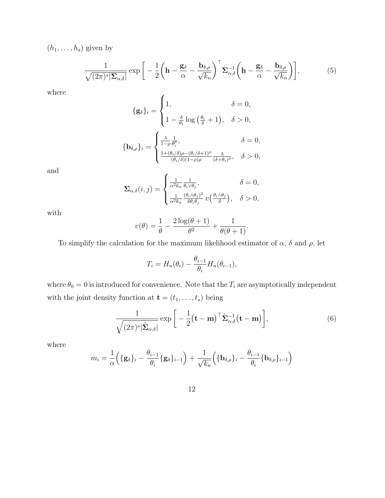$(h_1, \ldots, h_s)$  given by

$$
\frac{1}{\sqrt{(2\pi)^s |\Sigma_{\alpha,\delta}|}} \exp\bigg[-\frac{1}{2}\bigg(\mathbf{h} - \frac{\mathbf{g}_{\delta}}{\alpha} - \frac{\mathbf{b}_{\delta,\rho}}{\sqrt{k_n}}\bigg)^{\top} \Sigma_{\alpha,\delta}^{-1}\bigg(\mathbf{h} - \frac{\mathbf{g}_{\delta}}{\alpha} - \frac{\mathbf{b}_{\delta,\rho}}{\sqrt{k_n}}\bigg)\bigg],\tag{5}
$$

where

$$
\begin{aligned} \{\mathbf{g}_{\delta}\}_{i} & = \begin{cases} 1, & \delta = 0, \\ 1 - \frac{\delta}{\theta_{i}} \log\left(\frac{\theta_{i}}{\delta} + 1\right), & \delta > 0, \end{cases} \\ \{\mathbf{b}_{\delta,\rho}\}_{i} & = \begin{cases} \frac{\lambda}{1-\rho} \frac{1}{\theta_{i}^{\rho}}, & \delta = 0, \\ \frac{1+(\theta_{i}/\delta)\rho - (\theta_{i}/\delta + 1)^{\rho}}{(\theta_{i}/\delta)(1-\rho)\rho} \frac{\lambda}{(\delta + \theta_{i})^{\rho}}, & \delta > 0, \end{cases} \end{aligned}
$$

and

$$
\pmb{\Sigma}_{\alpha,\delta}(i,j) = \begin{cases} \frac{1}{\alpha^2 k_n} \frac{1}{\theta_i \vee \theta_j}, & \delta = 0, \\ \frac{1}{\alpha^2 k_n} \frac{(\theta_i \wedge \theta_j)^2}{\delta \theta_i \theta_j} v\left(\frac{\theta_i \wedge \theta_j}{\delta}\right), & \delta > 0, \end{cases}
$$

with

$$
v(\theta) = \frac{1}{\theta} - \frac{2\log(\theta + 1)}{\theta^2} + \frac{1}{\theta(\theta + 1)}.
$$

To simplify the calculation for the maximum likelihood estimator of  $\alpha$ ,  $\delta$  and  $\rho$ , let

$$
T_i = H_n(\theta_i) - \frac{\theta_{i-1}}{\theta_i} H_n(\theta_{i-1}),
$$

where  $\theta_0 = 0$  is introduced for convenience. Note that the  $T_i$  are asymptotically independent with the joint density function at  $\mathbf{t} = (t_1, \ldots, t_s)$  being

<span id="page-11-0"></span>
$$
\frac{1}{\sqrt{(2\pi)^s |\tilde{\Sigma}_{\alpha,\delta}|}} \exp\bigg[-\frac{1}{2}(\mathbf{t}-\mathbf{m})^\top \tilde{\Sigma}_{\alpha,\delta}^{-1}(\mathbf{t}-\mathbf{m})\bigg],\tag{6}
$$

where

$$
m_i = \frac{1}{\alpha} \Big( \{ \mathbf{g}_{\delta} \}_i - \frac{\theta_{i-1}}{\theta_i} \{ \mathbf{g}_{\delta} \}_{i-1} \Big) + \frac{1}{\sqrt{k_n}} \Big( \{ \mathbf{b}_{\delta,\rho} \}_i - \frac{\theta_{i-1}}{\theta_i} \{ \mathbf{b}_{\delta,\rho} \}_{i-1} \Big)
$$

12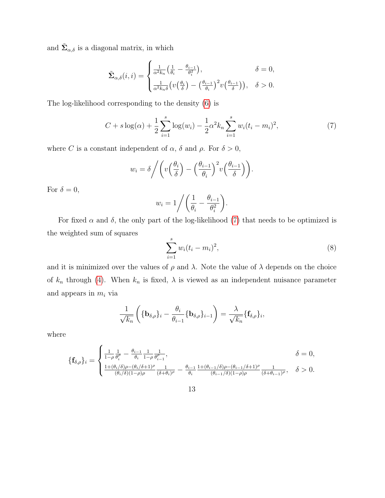and  $\tilde{\Sigma}_{\alpha,\delta}$  is a diagonal matrix, in which

$$
\tilde{\Sigma}_{\alpha,\delta}(i,i) = \begin{cases}\n\frac{1}{\alpha^2 k_n} \left( \frac{1}{\theta_i} - \frac{\theta_{i-1}}{\theta_i^2} \right), & \delta = 0, \\
\frac{1}{\alpha^2 k_n \delta} \left( v \left( \frac{\theta_i}{\delta} \right) - \left( \frac{\theta_{i-1}}{\theta_i} \right)^2 v \left( \frac{\theta_{i-1}}{\delta} \right) \right), & \delta > 0.\n\end{cases}
$$

The log-likelihood corresponding to the density [\(6\)](#page-11-0) is

<span id="page-12-0"></span>
$$
C + s \log(\alpha) + \frac{1}{2} \sum_{i=1}^{s} \log(w_i) - \frac{1}{2} \alpha^2 k_n \sum_{i=1}^{s} w_i (t_i - m_i)^2,
$$
 (7)

where C is a constant independent of  $\alpha$ ,  $\delta$  and  $\rho$ . For  $\delta > 0$ ,

$$
w_i = \delta / \left( v \left( \frac{\theta_i}{\delta} \right) - \left( \frac{\theta_{i-1}}{\theta_i} \right)^2 v \left( \frac{\theta_{i-1}}{\delta} \right) \right).
$$

For  $\delta = 0$ ,

$$
w_i = 1 / \left(\frac{1}{\theta_i} - \frac{\theta_{i-1}}{\theta_i^2}\right).
$$

For fixed  $\alpha$  and  $\delta$ , the only part of the log-likelihood [\(7\)](#page-12-0) that needs to be optimized is the weighted sum of squares

<span id="page-12-1"></span>
$$
\sum_{i=1}^{s} w_i (t_i - m_i)^2, \tag{8}
$$

and it is minimized over the values of  $\rho$  and  $\lambda$ . Note the value of  $\lambda$  depends on the choice of  $k_n$  through [\(4\)](#page-6-1). When  $k_n$  is fixed,  $\lambda$  is viewed as an independent nuisance parameter and appears in  $m_i$  via

$$
\frac{1}{\sqrt{k_n}}\left(\{\mathbf{b}_{\delta,\rho}\}_i-\frac{\theta_i}{\theta_{i-1}}\{\mathbf{b}_{\delta,\rho}\}_{i-1}\right)=\frac{\lambda}{\sqrt{k_n}}\{\mathbf{f}_{\delta,\rho}\}_i,
$$

where

$$
\{\mathbf{f}_{\delta,\rho}\}_i = \begin{cases} \frac{1}{1-\rho} \frac{1}{\theta_i^{\rho}} - \frac{\theta_{i-1}}{\theta_i} \frac{1}{1-\rho} \frac{1}{\theta_{i-1}^{\rho}}, & \delta = 0, \\ \frac{1+(\theta_i/\delta)\rho - (\theta_i/\delta + 1)^{\rho}}{(\theta_i/\delta)(1-\rho)\rho} \frac{1}{(\delta+\theta_i)^{\rho}} - \frac{\theta_{i-1}}{\theta_i} \frac{1+(\theta_{i-1}/\delta)\rho - (\theta_{i-1}/\delta + 1)^{\rho}}{(\theta_{i-1}/\delta)(1-\rho)\rho} \frac{1}{(\delta+\theta_{i-1})^{\rho}}, & \delta > 0. \end{cases}
$$

13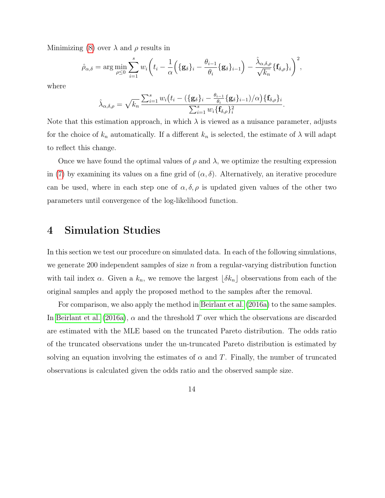Minimizing [\(8\)](#page-12-1) over  $\lambda$  and  $\rho$  results in

$$
\hat{\rho}_{\alpha,\delta} = \arg \min_{\rho \leq 0} \sum_{i=1}^s w_i \left( t_i - \frac{1}{\alpha} \left( \{ \mathbf{g}_{\delta} \}_i - \frac{\theta_{i-1}}{\theta_i} \{ \mathbf{g}_{\delta} \}_{i-1} \right) - \frac{\hat{\lambda}_{\alpha,\delta,\rho}}{\sqrt{k_n}} \{ \mathbf{f}_{\delta,\rho} \}_i \right)^2,
$$

where

$$
\hat{\lambda}_{\alpha,\delta,\rho} = \sqrt{k_n} \frac{\sum_{i=1}^s w_i (t_i - (\{\mathbf{g}_{\delta}\}_i - \frac{\theta_{i-1}}{\theta_i} \{\mathbf{g}_{\delta}\}_{i-1})/\alpha) \{\mathbf{f}_{\delta,\rho}\}_i}{\sum_{i=1}^s w_i \{\mathbf{f}_{\delta,\rho}\}_i^2}
$$

.

Note that this estimation approach, in which  $\lambda$  is viewed as a nuisance parameter, adjusts for the choice of  $k_n$  automatically. If a different  $k_n$  is selected, the estimate of  $\lambda$  will adapt to reflect this change.

Once we have found the optimal values of  $\rho$  and  $\lambda$ , we optimize the resulting expression in [\(7\)](#page-12-0) by examining its values on a fine grid of  $(\alpha, \delta)$ . Alternatively, an iterative procedure can be used, where in each step one of  $\alpha, \delta, \rho$  is updated given values of the other two parameters until convergence of the log-likelihood function.

### <span id="page-13-0"></span>4 Simulation Studies

In this section we test our procedure on simulated data. In each of the following simulations, we generate 200 independent samples of size  $n$  from a regular-varying distribution function with tail index  $\alpha$ . Given a  $k_n$ , we remove the largest  $\lfloor \delta k_n \rfloor$  observations from each of the original samples and apply the proposed method to the samples after the removal.

For comparison, we also apply the method in [Beirlant et al.](#page-38-1) [\(2016a\)](#page-38-1) to the same samples. In [Beirlant et al.](#page-38-1) [\(2016a\)](#page-38-1),  $\alpha$  and the threshold T over which the observations are discarded are estimated with the MLE based on the truncated Pareto distribution. The odds ratio of the truncated observations under the un-truncated Pareto distribution is estimated by solving an equation involving the estimates of  $\alpha$  and T. Finally, the number of truncated observations is calculated given the odds ratio and the observed sample size.

14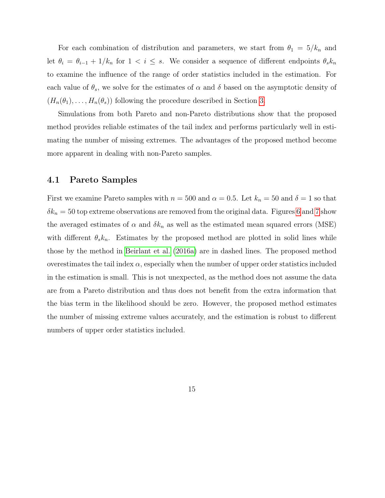For each combination of distribution and parameters, we start from  $\theta_1 = 5/k_n$  and let  $\theta_i = \theta_{i-1} + 1/k_n$  for  $1 < i \leq s$ . We consider a sequence of different endpoints  $\theta_s k_n$ to examine the influence of the range of order statistics included in the estimation. For each value of  $\theta_s$ , we solve for the estimates of  $\alpha$  and  $\delta$  based on the asymptotic density of  $(H_n(\theta_1), \ldots, H_n(\theta_s))$  following the procedure described in Section [3.](#page-10-0)

Simulations from both Pareto and non-Pareto distributions show that the proposed method provides reliable estimates of the tail index and performs particularly well in estimating the number of missing extremes. The advantages of the proposed method become more apparent in dealing with non-Pareto samples.

#### 4.1 Pareto Samples

First we examine Pareto samples with  $n = 500$  and  $\alpha = 0.5$ . Let  $k_n = 50$  and  $\delta = 1$  so that  $\delta k_n = 50$  top extreme observations are removed from the original data. Figures [6](#page-15-0) and [7](#page-15-1) show the averaged estimates of  $\alpha$  and  $\delta k_n$  as well as the estimated mean squared errors (MSE) with different  $\theta_s k_n$ . Estimates by the proposed method are plotted in solid lines while those by the method in [Beirlant et al.](#page-38-1) [\(2016a\)](#page-38-1) are in dashed lines. The proposed method overestimates the tail index  $\alpha$ , especially when the number of upper order statistics included in the estimation is small. This is not unexpected, as the method does not assume the data are from a Pareto distribution and thus does not benefit from the extra information that the bias term in the likelihood should be zero. However, the proposed method estimates the number of missing extreme values accurately, and the estimation is robust to different numbers of upper order statistics included.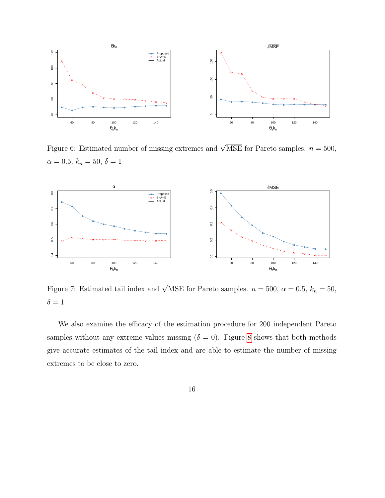

<span id="page-15-0"></span>Figure 6: Estimated number of missing extremes and  $\sqrt{\text{MSE}}$  for Pareto samples.  $n = 500$ ,  $\alpha = 0.5, k_n = 50, \delta = 1$ 



<span id="page-15-1"></span>Figure 7: Estimated tail index and  $\sqrt{\text{MSE}}$  for Pareto samples.  $n = 500, \alpha = 0.5, k_n = 50,$  $\delta = 1$ 

We also examine the efficacy of the estimation procedure for 200 independent Pareto samples without any extreme values missing ( $\delta = 0$ ). Figure [8](#page-16-0) shows that both methods give accurate estimates of the tail index and are able to estimate the number of missing extremes to be close to zero.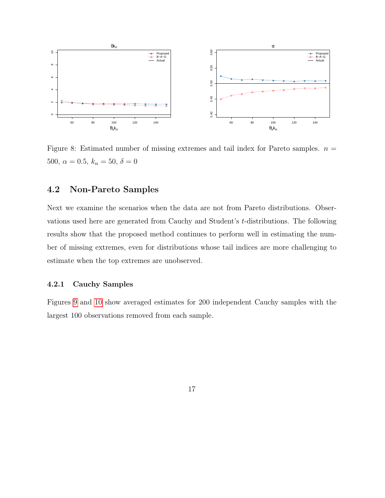

<span id="page-16-0"></span>Figure 8: Estimated number of missing extremes and tail index for Pareto samples.  $n =$ 500,  $\alpha = 0.5$ ,  $k_n = 50$ ,  $\delta = 0$ 

### 4.2 Non-Pareto Samples

Next we examine the scenarios when the data are not from Pareto distributions. Observations used here are generated from Cauchy and Student's t-distributions. The following results show that the proposed method continues to perform well in estimating the number of missing extremes, even for distributions whose tail indices are more challenging to estimate when the top extremes are unobserved.

#### 4.2.1 Cauchy Samples

Figures [9](#page-17-0) and [10](#page-17-1) show averaged estimates for 200 independent Cauchy samples with the largest 100 observations removed from each sample.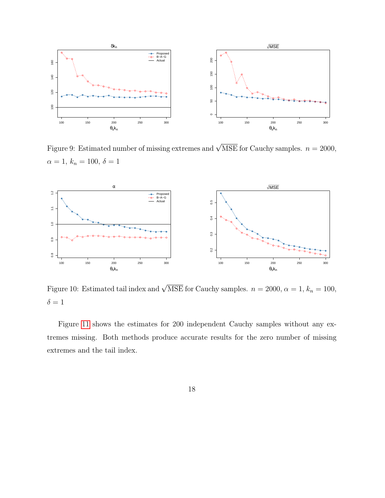

<span id="page-17-0"></span>Figure 9: Estimated number of missing extremes and  $\sqrt{\text{MSE}}$  for Cauchy samples.  $n = 2000$ ,  $\alpha = 1, k_n = 100, \delta = 1$ 



<span id="page-17-1"></span>Figure 10: Estimated tail index and  $\sqrt{\text{MSE}}$  for Cauchy samples.  $n = 2000, \alpha = 1, k_n = 100$ ,  $\delta = 1$ 

Figure [11](#page-18-0) shows the estimates for 200 independent Cauchy samples without any extremes missing. Both methods produce accurate results for the zero number of missing extremes and the tail index.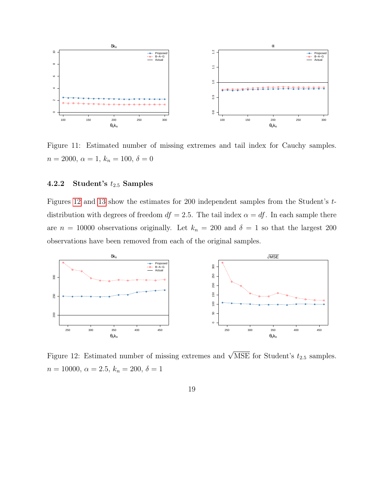

<span id="page-18-0"></span>Figure 11: Estimated number of missing extremes and tail index for Cauchy samples.  $n = 2000, \, \alpha = 1, \, k_n = 100, \, \delta = 0$ 

#### 4.2.2 Student's  $t_{2.5}$  Samples

Figures [12](#page-18-1) and [13](#page-19-1) show the estimates for 200 independent samples from the Student's tdistribution with degrees of freedom  $df = 2.5$ . The tail index  $\alpha = df$ . In each sample there are  $n = 10000$  observations originally. Let  $k_n = 200$  and  $\delta = 1$  so that the largest 200 observations have been removed from each of the original samples.



<span id="page-18-1"></span>Figure 12: Estimated number of missing extremes and  $\sqrt{\text{MSE}}$  for Student's  $t_{2.5}$  samples.  $n = 10000, \ \alpha = 2.5, \ k_n = 200, \ \delta = 1$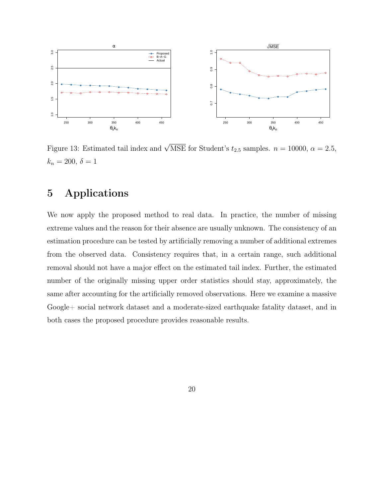

<span id="page-19-1"></span>Figure 13: Estimated tail index and  $\sqrt{\text{MSE}}$  for Student's  $t_{2.5}$  samples.  $n = 10000, \alpha = 2.5$ ,  $k_n = 200, \, \delta = 1$ 

## <span id="page-19-0"></span>5 Applications

We now apply the proposed method to real data. In practice, the number of missing extreme values and the reason for their absence are usually unknown. The consistency of an estimation procedure can be tested by artificially removing a number of additional extremes from the observed data. Consistency requires that, in a certain range, such additional removal should not have a major effect on the estimated tail index. Further, the estimated number of the originally missing upper order statistics should stay, approximately, the same after accounting for the artificially removed observations. Here we examine a massive Google+ social network dataset and a moderate-sized earthquake fatality dataset, and in both cases the proposed procedure provides reasonable results.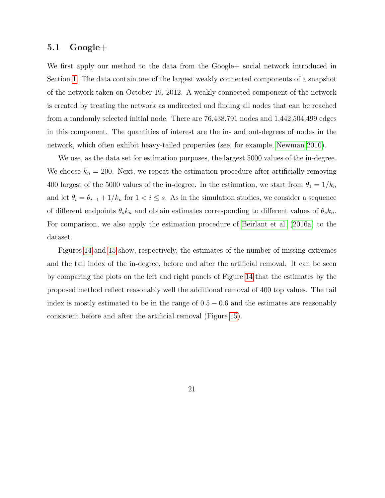#### $5.1 \quad \text{Google}+$

We first apply our method to the data from the Google + social network introduced in Section [1.](#page-2-1) The data contain one of the largest weakly connected components of a snapshot of the network taken on October 19, 2012. A weakly connected component of the network is created by treating the network as undirected and finding all nodes that can be reached from a randomly selected initial node. There are 76,438,791 nodes and 1,442,504,499 edges in this component. The quantities of interest are the in- and out-degrees of nodes in the network, which often exhibit heavy-tailed properties (see, for example, [Newman 2010\)](#page-39-3).

We use, as the data set for estimation purposes, the largest 5000 values of the in-degree. We choose  $k_n = 200$ . Next, we repeat the estimation procedure after artificially removing 400 largest of the 5000 values of the in-degree. In the estimation, we start from  $\theta_1 = 1/k_n$ and let  $\theta_i = \theta_{i-1} + 1/k_n$  for  $1 \le i \le s$ . As in the simulation studies, we consider a sequence of different endpoints  $\theta_s k_n$  and obtain estimates corresponding to different values of  $\theta_s k_n$ . For comparison, we also apply the estimation procedure of [Beirlant et al.](#page-38-1) [\(2016a\)](#page-38-1) to the dataset.

Figures [14](#page-21-0) and [15](#page-21-1) show, respectively, the estimates of the number of missing extremes and the tail index of the in-degree, before and after the artificial removal. It can be seen by comparing the plots on the left and right panels of Figure [14](#page-21-0) that the estimates by the proposed method reflect reasonably well the additional removal of 400 top values. The tail index is mostly estimated to be in the range of  $0.5 - 0.6$  and the estimates are reasonably consistent before and after the artificial removal (Figure [15\)](#page-21-1).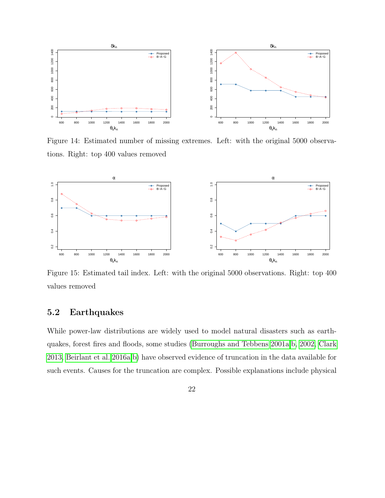

<span id="page-21-0"></span>Figure 14: Estimated number of missing extremes. Left: with the original 5000 observations. Right: top 400 values removed



<span id="page-21-1"></span>Figure 15: Estimated tail index. Left: with the original 5000 observations. Right: top 400 values removed

### 5.2 Earthquakes

While power-law distributions are widely used to model natural disasters such as earthquakes, forest fires and floods, some studies [\(Burroughs and Tebbens 2001a,](#page-38-3)[b,](#page-38-4) [2002,](#page-39-5) [Clark](#page-39-6) [2013,](#page-39-6) [Beirlant et al. 2016a,](#page-38-1)[b\)](#page-38-2) have observed evidence of truncation in the data available for such events. Causes for the truncation are complex. Possible explanations include physical

22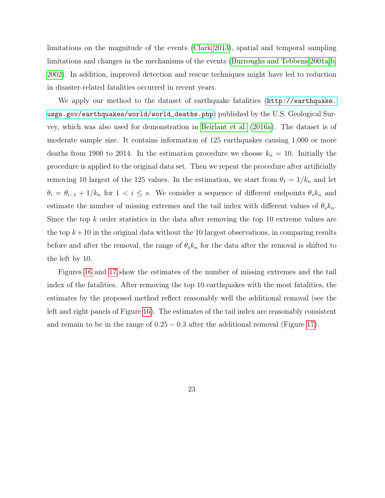limitations on the magnitude of the events [\(Clark 2013\)](#page-39-6), spatial and temporal sampling limitations and changes in the mechanisms of the events [\(Burroughs and Tebbens 2001a,](#page-38-3)[b,](#page-38-4) [2002\)](#page-39-5). In addition, improved detection and rescue techniques might have led to reduction in disaster-related fatalities occurred in recent years.

We apply our method to the dataset of earthquake fatalities ([http://earthquake.](http://earthquake.usgs.gov/earthquakes/world/world_deaths.php) [usgs.gov/earthquakes/world/world\\_deaths.php](http://earthquake.usgs.gov/earthquakes/world/world_deaths.php)) published by the U.S. Geological Survey, which was also used for demonstration in [Beirlant et al.](#page-38-1) [\(2016a\)](#page-38-1). The dataset is of moderate sample size. It contains information of 125 earthquakes causing 1,000 or more deaths from 1900 to 2014. In the estimation procedure we choose  $k_n = 10$ . Initially the procedure is applied to the original data set. Then we repeat the procedure after artificially removing 10 largest of the 125 values. In the estimation, we start from  $\theta_1 = 1/k_n$  and let  $\theta_i = \theta_{i-1} + 1/k_n$  for  $1 < i \leq s$ . We consider a sequence of different endpoints  $\theta_s k_n$  and estimate the number of missing extremes and the tail index with different values of  $\theta_s k_n$ . Since the top  $k$  order statistics in the data after removing the top 10 extreme values are the top  $k+10$  in the original data without the 10 largest observations, in comparing results before and after the removal, the range of  $\theta_s k_n$  for the data after the removal is shifted to the left by 10.

Figures [16](#page-23-0) and [17](#page-23-1) show the estimates of the number of missing extremes and the tail index of the fatalities. After removing the top 10 earthquakes with the most fatalities, the estimates by the proposed method reflect reasonably well the additional removal (see the left and right panels of Figure [16\)](#page-23-0). The estimates of the tail index are reasonably consistent and remain to be in the range of  $0.25 - 0.3$  after the additional removal (Figure [17\)](#page-23-1).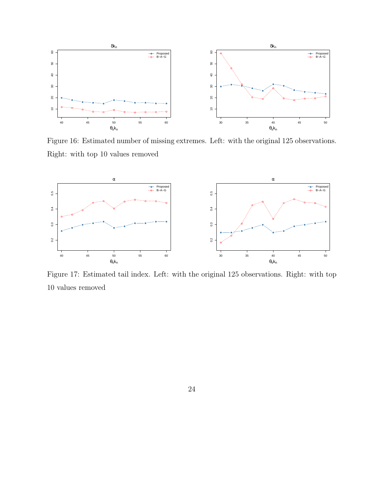

<span id="page-23-0"></span>Figure 16: Estimated number of missing extremes. Left: with the original 125 observations. Right: with top 10 values removed



<span id="page-23-1"></span>Figure 17: Estimated tail index. Left: with the original 125 observations. Right: with top 10 values removed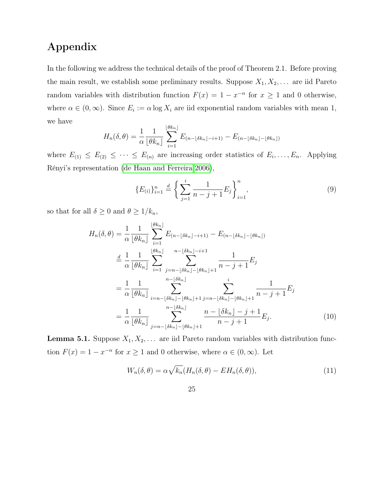# Appendix

In the following we address the technical details of the proof of Theorem 2.1. Before proving the main result, we establish some preliminary results. Suppose  $X_1, X_2, \ldots$  are iid Pareto random variables with distribution function  $F(x) = 1 - x^{-\alpha}$  for  $x \ge 1$  and 0 otherwise, where  $\alpha \in (0,\infty)$ . Since  $E_i := \alpha \log X_i$  are iid exponential random variables with mean 1, we have

$$
H_n(\delta,\theta) = \frac{1}{\alpha} \frac{1}{\lfloor \theta k_n \rfloor} \sum_{i=1}^{\lfloor \theta k_n \rfloor} E_{(n-\lfloor \delta k_n \rfloor - i+1)} - E_{(n-\lfloor \delta k_n \rfloor - \lfloor \theta k_n \rfloor)}
$$

where  $E_{(1)} \leq E_{(2)} \leq \cdots \leq E_{(n)}$  are increasing order statistics of  $E_i, \ldots, E_n$ . Applying Rényi's representation [\(de Haan and Ferreira 2006\)](#page-39-2),

$$
\{E_{(i)}\}_{i=1}^n \stackrel{d}{=} \left\{ \sum_{j=1}^i \frac{1}{n-j+1} E_j \right\}_{i=1}^n, \tag{9}
$$

so that for all  $\delta \geq 0$  and  $\theta \geq 1/k_n$ ,

$$
H_n(\delta, \theta) = \frac{1}{\alpha} \frac{1}{\lfloor \theta k_n \rfloor} \sum_{i=1}^{\lfloor \theta k_n \rfloor} E_{(n-\lfloor \delta k_n \rfloor - i+1)} - E_{(n-\lfloor \delta k_n \rfloor - \lfloor \theta k_n \rfloor)}
$$
  
\n
$$
\stackrel{d}{=} \frac{1}{\alpha} \frac{1}{\lfloor \theta k_n \rfloor} \sum_{i=1}^{\lfloor \theta k_n \rfloor} \sum_{j=n-\lfloor \delta k_n \rfloor - \lfloor \theta k_n \rfloor + 1}^{n-\lfloor \delta k_n \rfloor - i+1} \frac{1}{n-j+1} E_j
$$
  
\n
$$
= \frac{1}{\alpha} \frac{1}{\lfloor \theta k_n \rfloor} \sum_{i=n-\lfloor \delta k_n \rfloor - \lfloor \theta k_n \rfloor + 1}^{n-\lfloor \delta k_n \rfloor - \lfloor \theta k_n \rfloor + 1} \sum_{j=n-\lfloor \delta k_n \rfloor - \lfloor \theta k_n \rfloor + 1}^{i} \frac{1}{n-j+1} E_j
$$
  
\n
$$
= \frac{1}{\alpha} \frac{1}{\lfloor \theta k_n \rfloor} \sum_{j=n-\lfloor \delta k_n \rfloor - \lfloor \theta k_n \rfloor + 1}^{n-\lfloor \delta k_n \rfloor} \frac{n - \lfloor \delta k_n \rfloor - j + 1}{n-j+1} E_j.
$$
 (10)

<span id="page-24-1"></span>**Lemma 5.1.** Suppose  $X_1, X_2, \ldots$  are iid Pareto random variables with distribution function  $F(x) = 1 - x^{-\alpha}$  for  $x \ge 1$  and 0 otherwise, where  $\alpha \in (0, \infty)$ . Let

$$
W_n(\delta, \theta) = \alpha \sqrt{k_n} (H_n(\delta, \theta) - EH_n(\delta, \theta)), \qquad (11)
$$

<span id="page-24-0"></span>25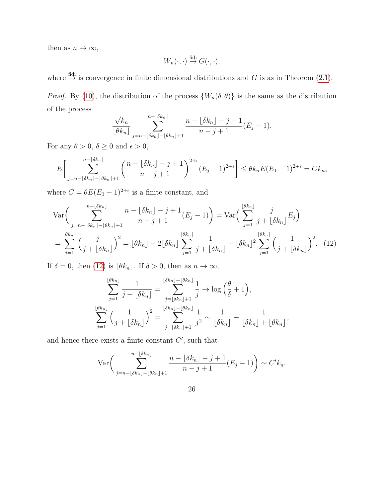then as  $n \to \infty$ ,

$$
W_n(\cdot,\cdot) \stackrel{\text{fidi}}{\rightarrow} G(\cdot,\cdot),
$$

where  $\stackrel{\text{fidi}}{\rightarrow}$  is convergence in finite dimensional distributions and G is as in Theorem [\(2.1\)](#page-7-0). *Proof.* By [\(10\)](#page-24-0), the distribution of the process  $\{W_n(\delta, \theta)\}\$ is the same as the distribution of the process

$$
\frac{\sqrt{k_n}}{\lfloor \theta k_n \rfloor} \sum_{j=n-\lfloor \delta k_n \rfloor - \lfloor \theta k_n \rfloor + 1}^{n-\lfloor \delta k_n \rfloor} \frac{n-\lfloor \delta k_n \rfloor - j + 1}{n-j+1} (E_j - 1).
$$

For any  $\theta>0,$   $\delta\geq 0$  and  $\epsilon>0,$ 

$$
E\bigg[\sum_{j=n-\lfloor\delta k_n\rfloor-\lfloor\theta k_n\rfloor+1}^{n-\lfloor\delta k_n\rfloor}\left(\frac{n-\lfloor\delta k_n\rfloor-j+1}{n-j+1}\right)^{2+\epsilon}(E_j-1)^{2+\epsilon}\bigg]\leq\theta k_nE(E_1-1)^{2+\epsilon}=Ck_n,
$$

where  $C = \theta E (E_1 - 1)^{2+\epsilon}$  is a finite constant, and

$$
\operatorname{Var}\left(\sum_{j=n-\lfloor\delta k_n\rfloor-\lfloor\theta k_n\rfloor+1}^{n-\lfloor\delta k_n\rfloor} \frac{n-\lfloor\delta k_n\rfloor-j+1}{n-j+1}(E_j-1)\right) = \operatorname{Var}\left(\sum_{j=1}^{\lfloor\theta k_n\rfloor} \frac{j}{j+\lfloor\delta k_n\rfloor} E_j\right)
$$

$$
= \sum_{j=1}^{\lfloor\theta k_n\rfloor} \left(\frac{j}{j+\lfloor\delta k_n\rfloor}\right)^2 = \lfloor\theta k_n\rfloor - 2\lfloor\delta k_n\rfloor \sum_{j=1}^{\lfloor\theta k_n\rfloor} \frac{1}{j+\lfloor\delta k_n\rfloor} + \lfloor\delta k_n\rfloor^2 \sum_{j=1}^{\lfloor\theta k_n\rfloor} \left(\frac{1}{j+\lfloor\delta k_n\rfloor}\right)^2. \tag{12}
$$

If  $\delta = 0$ , then [\(12\)](#page-25-0) is  $\lfloor \theta k_n \rfloor$ . If  $\delta > 0$ , then as  $n \to \infty$ ,

$$
\sum_{j=1}^{\lfloor \theta k_n \rfloor} \frac{1}{j + \lfloor \delta k_n \rfloor} = \sum_{j=\lfloor \delta k_n \rfloor + 1}^{\lfloor \delta k_n \rfloor + \lfloor \theta k_n \rfloor} \frac{1}{j} \to \log \left( \frac{\theta}{\delta} + 1 \right),
$$
  

$$
\sum_{j=1}^{\lfloor \theta k_n \rfloor} \left( \frac{1}{j + \lfloor \delta k_n \rfloor} \right)^2 = \sum_{j=\lfloor \delta k_n \rfloor + 1}^{\lfloor \delta k_n \rfloor + \lfloor \theta k_n \rfloor} \frac{1}{j^2} \sim \frac{1}{\lfloor \delta k_n \rfloor} - \frac{1}{\lfloor \delta k_n \rfloor + \lfloor \theta k_n \rfloor},
$$

and hence there exists a finite constant  $C'$ , such that

$$
\operatorname{Var}\bigg(\sum_{j=n-\lfloor\delta k_n\rfloor-\lfloor\theta k_n\rfloor+1}^{n-\lfloor\delta k_n\rfloor} \frac{n-\lfloor\delta k_n\rfloor-j+1}{n-j+1}(E_j-1)\bigg) \sim C'k_n.
$$

<span id="page-25-0"></span>26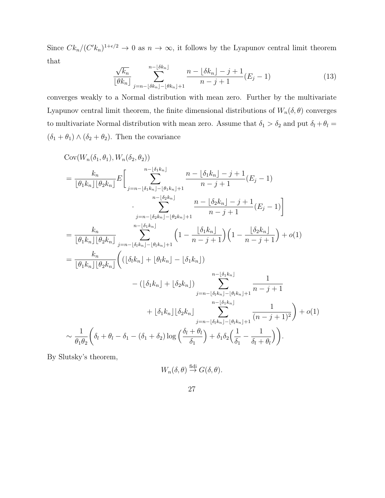Since  $C k_n / (C' k_n)^{1+\epsilon/2} \to 0$  as  $n \to \infty$ , it follows by the Lyapunov central limit theorem that

$$
\frac{\sqrt{k_n}}{\lfloor \theta k_n \rfloor} \sum_{j=n-\lfloor \delta k_n \rfloor - \lfloor \theta k_n \rfloor + 1}^{n-\lfloor \delta k_n \rfloor} \frac{n-\lfloor \delta k_n \rfloor - j + 1}{n-j+1} (E_j - 1)
$$
\n(13)

converges weakly to a Normal distribution with mean zero. Further by the multivariate Lyapunov central limit theorem, the finite dimensional distributions of  $W_n(\delta, \theta)$  converges to multivariate Normal distribution with mean zero. Assume that  $\delta_1 > \delta_2$  and put  $\delta_l + \theta_l =$  $(\delta_1 + \theta_1) \wedge (\delta_2 + \theta_2)$ . Then the covariance

$$
Cov(W_n(\delta_1, \theta_1), W_n(\delta_2, \theta_2))
$$
\n
$$
= \frac{k_n}{\lfloor \theta_1 k_n \rfloor \lfloor \theta_2 k_n \rfloor} E\Biggl[\sum_{j=n-\lfloor \delta_1 k_n \rfloor - \lfloor \theta_1 k_n \rfloor + 1}^{n-\lfloor \delta_1 k_n \rfloor} \frac{n - \lfloor \delta_1 k_n \rfloor - j + 1}{n - j + 1} (E_j - 1) \Biggr]
$$
\n
$$
\cdot \sum_{j=n-\lfloor \delta_2 k_n \rfloor - \lfloor \theta_2 k_n \rfloor + 1}^{n-\lfloor \delta_2 k_n \rfloor} \frac{n - \lfloor \delta_2 k_n \rfloor - j + 1}{n - j + 1} (E_j - 1) \Biggr]
$$
\n
$$
= \frac{k_n}{\lfloor \theta_1 k_n \rfloor \lfloor \theta_2 k_n \rfloor} \sum_{j=n-\lfloor \delta_1 k_n \rfloor - \lfloor \theta_1 k_n \rfloor + 1}^{n-\lfloor \delta_1 k_n \rfloor} \left(1 - \frac{\lfloor \delta_1 k_n \rfloor}{n - j + 1}\right) \left(1 - \frac{\lfloor \delta_2 k_n \rfloor}{n - j + 1}\right) + o(1)
$$
\n
$$
= \frac{k_n}{\lfloor \theta_1 k_n \rfloor \lfloor \theta_2 k_n \rfloor} \left( (\lfloor \delta_1 k_n \rfloor + \lfloor \theta_1 k_n \rfloor - \lfloor \delta_1 k_n \rfloor) \right)
$$
\n
$$
- (\lfloor \delta_1 k_n \rfloor + \lfloor \delta_2 k_n \rfloor) \sum_{j=n-\lfloor \delta_1 k_n \rfloor - \lfloor \theta_1 k_n \rfloor + 1}^{n-\lfloor \delta_1 k_n \rfloor} \frac{1}{(n - j + 1)^2} + o(1)
$$
\n
$$
\sim \frac{1}{\theta_1 \theta_2} \left( \delta_1 + \theta_1 - \delta_1 - (\delta_1 + \delta_2) \log \left( \frac{\delta_1 + \theta_1}{\delta_1} \right) + \delta_1 \delta_2 \left( \frac{1}{\delta_1} - \frac{1}{\delta_1 + \theta_1} \right) \Biggr).
$$

By Slutsky's theorem,

$$
W_n(\delta,\theta) \stackrel{\text{fidi}}{\rightarrow} G(\delta,\theta).
$$

$$
27\,
$$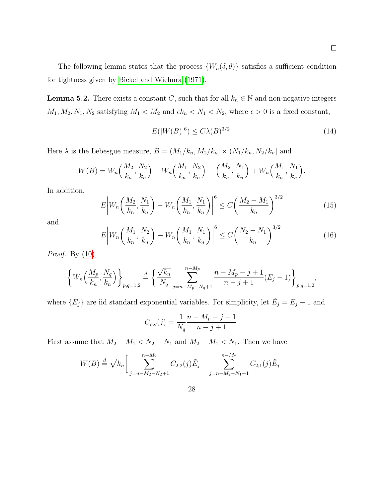The following lemma states that the process  $\{W_n(\delta, \theta)\}\$  satisfies a sufficient condition for tightness given by [Bickel and Wichura](#page-38-5) [\(1971\)](#page-38-5).

<span id="page-27-3"></span>**Lemma 5.2.** There exists a constant C, such that for all  $k_n \in \mathbb{N}$  and non-negative integers  $M_1, M_2, N_1, N_2$  satisfying  $M_1 < M_2$  and  $\epsilon k_n < N_1 < N_2$ , where  $\epsilon > 0$  is a fixed constant,

<span id="page-27-0"></span>
$$
E(|W(B)|^6) \le C\lambda(B)^{3/2}.
$$
\n(14)

 $\Box$ 

Here  $\lambda$  is the Lebesgue measure,  $B = (M_1/k_n, M_2/k_n] \times (N_1/k_n, N_2/k_n]$  and

$$
W(B) = W_n\left(\frac{M_2}{k_n}, \frac{N_2}{k_n}\right) - W_n\left(\frac{M_1}{k_n}, \frac{N_2}{k_n}\right) - \left(\frac{M_2}{k_n}, \frac{N_1}{k_n}\right) + W_n\left(\frac{M_1}{k_n}, \frac{N_1}{k_n}\right).
$$

In addition,

<span id="page-27-1"></span>
$$
E\left|W_n\left(\frac{M_2}{k_n}, \frac{N_1}{k_n}\right) - W_n\left(\frac{M_1}{k_n}, \frac{N_1}{k_n}\right)\right|^6 \le C\left(\frac{M_2 - M_1}{k_n}\right)^{3/2} \tag{15}
$$

and

<span id="page-27-2"></span>
$$
E\left|W_n\left(\frac{M_1}{k_n}, \frac{N_2}{k_n}\right) - W_n\left(\frac{M_1}{k_n}, \frac{N_1}{k_n}\right)\right|^6 \le C\left(\frac{N_2 - N_1}{k_n}\right)^{3/2}.
$$
 (16)

*Proof.* By  $(10)$ ,

$$
\left\{ W_n\left(\frac{M_p}{k_n}, \frac{N_q}{k_n}\right) \right\}_{p,q=1,2} \stackrel{d}{=} \left\{ \frac{\sqrt{k_n}}{N_q} \sum_{j=n-M_p-N_q+1}^{n-M_p} \frac{n-M_p-j+1}{n-j+1} (E_j-1) \right\}_{p,q=1,2},
$$

where  ${E_j}$  are iid standard exponential variables. For simplicity, let  $\tilde{E_j} = E_j - 1$  and

$$
C_{p,q}(j) = \frac{1}{N_q} \frac{n - M_p - j + 1}{n - j + 1}.
$$

First assume that  $M_2 - M_1 < N_2 - N_1$  and  $M_2 - M_1 < N_1$ . Then we have

$$
W(B) \stackrel{d}{=} \sqrt{k_n} \bigg[ \sum_{j=n-M_2-N_2+1}^{n-M_2} C_{2,2}(j) \tilde{E}_j - \sum_{j=n-M_2-N_1+1}^{n-M_2} C_{2,1}(j) \tilde{E}_j
$$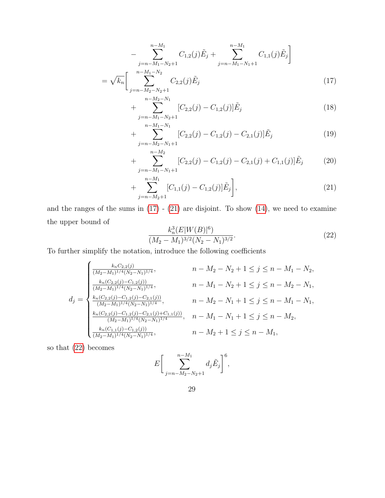$$
-\sum_{j=n-M_1-N_2+1}^{n-M_1} C_{1,2}(j)\tilde{E}_j + \sum_{j=n-M_1-N_1+1}^{n-M_1} C_{1,1}(j)\tilde{E}_j\Bigg]
$$
  
=  $\sqrt{k_n}\left[\sum_{j=n-M_2-N_2+1}^{n-M_1-N_2} C_{2,2}(j)\tilde{E}_j\right]$  (17)

<span id="page-28-0"></span>
$$
+\sum_{j=n-M_1-N_2+1}^{n-M_2-N_1} [C_{2,2}(j) - C_{1,2}(j)]\tilde{E}_j
$$
\n(18)

$$
+\sum_{j=n-M_2-N_1+1}^{n-M_1-N_1} [C_{2,2}(j) - C_{1,2}(j) - C_{2,1}(j)]\tilde{E}_j
$$
\n(19)

+ 
$$
\sum_{j=n-M_1-N_1+1}^{n-M_2} [C_{2,2}(j) - C_{1,2}(j) - C_{2,1}(j) + C_{1,1}(j)] \tilde{E}_j
$$
 (20)

$$
+\sum_{j=n-M_2+1}^{n-M_1} [C_{1,1}(j)-C_{1,2}(j)]\tilde{E}_j\bigg],\tag{21}
$$

and the ranges of the sums in  $(17) - (21)$  $(17) - (21)$  $(17) - (21)$  are disjoint. To show  $(14)$ , we need to examine the upper bound of

<span id="page-28-2"></span><span id="page-28-1"></span>
$$
\frac{k_n^3 (E|W(B)|^6)}{(M_2 - M_1)^{3/2} (N_2 - N_1)^{3/2}}.
$$
\n(22)

To further simplify the notation, introduce the following coefficients

$$
d_{j} = \begin{cases} \frac{k_{n}C_{2,2}(j)}{(M_{2}-M_{1})^{1/4}(N_{2}-N_{1})^{1/4}}, & n-M_{2}-N_{2}+1 \leq j \leq n-M_{1}-N_{2},\\ \frac{k_{n}(C_{2,2}(j)-C_{1,2}(j))}{(M_{2}-M_{1})^{1/4}(N_{2}-N_{1})^{1/4}}, & n-M_{1}-N_{2}+1 \leq j \leq n-M_{2}-N_{1},\\ \frac{k_{n}(C_{2,2}(j)-C_{1,2}(j)-C_{2,1}(j))}{(M_{2}-M_{1})^{1/4}(N_{2}-N_{1})^{1/4}}, & n-M_{2}-N_{1}+1 \leq j \leq n-M_{1}-N_{1},\\ \frac{k_{n}(C_{2,2}(j)-C_{1,2}(j)-C_{2,1}(j)+C_{1,1}(j))}{(M_{2}-M_{1})^{1/4}(N_{2}-N_{1})^{1/4}}, & n-M_{1}-N_{1}+1 \leq j \leq n-M_{2},\\ \frac{k_{n}(C_{1,1}(j)-C_{1,2}(j))}{(M_{2}-M_{1})^{1/4}(N_{2}-N_{1})^{1/4}}, & n-M_{2}+1 \leq j \leq n-M_{1}, \end{cases}
$$

so that [\(22\)](#page-28-2) becomes

$$
E\bigg[\sum_{j=n-M_2-N_2+1}^{n-M_1} d_j \tilde{E}_j\bigg]^6,
$$

29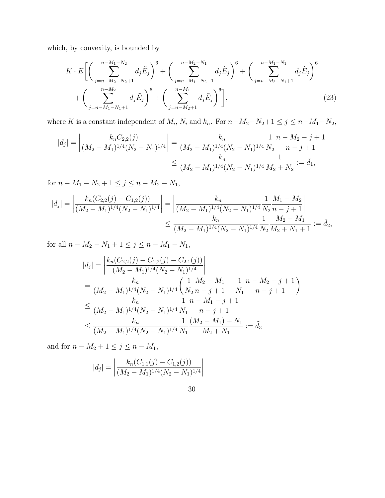which, by convexity, is bounded by

<span id="page-29-0"></span>
$$
K \cdot E \left[ \left( \sum_{j=n-M_2-N_2+1}^{n-M_1-N_2} d_j \tilde{E}_j \right)^6 + \left( \sum_{j=n-M_1-N_2+1}^{n-M_2-N_1} d_j \tilde{E}_j \right)^6 + \left( \sum_{j=n-M_2-N_1+1}^{n-M_1-N_2} d_j \tilde{E}_j \right)^6 + \left( \sum_{j=n-M_2+1}^{n-M_2} d_j \tilde{E}_j \right)^6 \right], \tag{23}
$$

where K is a constant independent of  $M_i$ ,  $N_i$  and  $k_n$ . For  $n-M_2-N_2+1 \leq j \leq n-M_1-N_2$ ,

$$
|d_j| = \left| \frac{k_n C_{2,2}(j)}{(M_2 - M_1)^{1/4} (N_2 - N_1)^{1/4}} \right| = \frac{k_n}{(M_2 - M_1)^{1/4} (N_2 - N_1)^{1/4}} \frac{1}{N_2} \frac{n - M_2 - j + 1}{n - j + 1}
$$
  

$$
\leq \frac{k_n}{(M_2 - M_1)^{1/4} (N_2 - N_1)^{1/4}} \frac{1}{M_2 + N_2} := \tilde{d}_1,
$$

for  $n - M_1 - N_2 + 1 \le j \le n - M_2 - N_1$ ,

$$
|d_j| = \left| \frac{k_n(C_{2,2}(j) - C_{1,2}(j))}{(M_2 - M_1)^{1/4}(N_2 - N_1)^{1/4}} \right| = \left| \frac{k_n}{(M_2 - M_1)^{1/4}(N_2 - N_1)^{1/4}} \frac{1}{N_2} \frac{M_1 - M_2}{n - j + 1} \right|
$$
  

$$
\leq \frac{k_n}{(M_2 - M_1)^{1/4}(N_2 - N_1)^{1/4}} \frac{1}{N_2} \frac{M_2 - M_1}{M_2 + N_1 + 1} := \tilde{d}_2,
$$

for all  $n - M_2 - N_1 + 1 \le j \le n - M_1 - N_1$ ,

$$
|d_j| = \left| \frac{k_n(C_{2,2}(j) - C_{1,2}(j) - C_{2,1}(j))}{(M_2 - M_1)^{1/4}(N_2 - N_1)^{1/4}} \right|
$$
  
= 
$$
\frac{k_n}{(M_2 - M_1)^{1/4}(N_2 - N_1)^{1/4}} \left( \frac{1}{N_2} \frac{M_2 - M_1}{n - j + 1} + \frac{1}{N_1} \frac{n - M_2 - j + 1}{n - j + 1} \right)
$$
  

$$
\leq \frac{k_n}{(M_2 - M_1)^{1/4}(N_2 - N_1)^{1/4}} \frac{1}{N_1} \frac{n - M_1 - j + 1}{n - j + 1}
$$
  

$$
\leq \frac{k_n}{(M_2 - M_1)^{1/4}(N_2 - N_1)^{1/4}} \frac{1}{N_1} \frac{(M_2 - M_1) + N_1}{M_2 + N_1} := \tilde{d}_3
$$

and for  $n - M_2 + 1 \le j \le n - M_1$ ,

$$
|d_j| = \left| \frac{k_n(C_{1,1}(j) - C_{1,2}(j))}{(M_2 - M_1)^{1/4}(N_2 - N_1)^{1/4}} \right|
$$

30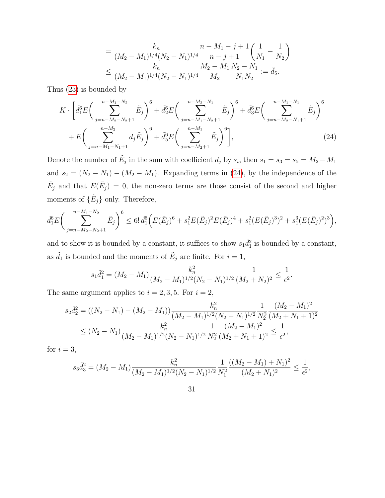<span id="page-30-0"></span>
$$
= \frac{k_n}{(M_2 - M_1)^{1/4}(N_2 - N_1)^{1/4}} \frac{n - M_1 - j + 1}{n - j + 1} \left(\frac{1}{N_1} - \frac{1}{N_2}\right)
$$
  

$$
\leq \frac{k_n}{(M_2 - M_1)^{1/4}(N_2 - N_1)^{1/4}} \frac{M_2 - M_1}{M_2} \frac{N_2 - N_1}{N_1 N_2} := \tilde{d}_5.
$$

Thus [\(23\)](#page-29-0) is bounded by

$$
K \cdot \left[ \tilde{d}_{1}^{6} E \left( \sum_{j=n-M_{2}-N_{2}+1}^{n-M_{1}-N_{2}} \tilde{E}_{j} \right)^{6} + \tilde{d}_{2}^{6} E \left( \sum_{j=n-M_{1}-N_{2}+1}^{n-M_{2}-N_{1}} \tilde{E}_{j} \right)^{6} + \tilde{d}_{3}^{6} E \left( \sum_{j=n-M_{2}-N_{1}+1}^{n-M_{1}-N_{1}} \tilde{E}_{j} \right)^{6} + E \left( \sum_{j=n-M_{1}-N_{1}+1}^{n-M_{2}} d_{j} \tilde{E}_{j} \right)^{6} + \tilde{d}_{3}^{6} E \left( \sum_{j=n-M_{2}+1}^{n-M_{1}} \tilde{E}_{j} \right)^{6} \right], \tag{24}
$$

Denote the number of  $\tilde{E}_j$  in the sum with coefficient  $d_j$  by  $s_i$ , then  $s_1 = s_3 = s_5 = M_2 - M_1$ and  $s_2 = (N_2 - N_1) - (M_2 - M_1)$ . Expanding terms in [\(24\)](#page-30-0), by the independence of the  $\tilde{E}_j$  and that  $E(\tilde{E}_j) = 0$ , the non-zero terms are those consist of the second and higher moments of  $\{\tilde{E}_j\}$  only. Therefore,

$$
\tilde{d}_1^6 E \bigg( \sum_{j=n-M_2-N_2+1}^{n-M_1-N_2} \tilde{E}_j \bigg)^6 \leq 6! \tilde{d}_1^6 \Big( E(\tilde{E}_j)^6 + s_1^2 E(\tilde{E}_j)^2 E(\tilde{E}_j)^4 + s_1^2 (E(\tilde{E}_j)^3)^2 + s_1^3 (E(\tilde{E}_j)^2)^3 \Big),
$$

and to show it is bounded by a constant, it suffices to show  $s_1\tilde{d}_1^2$  is bounded by a constant, as  $\tilde{d}_1$  is bounded and the moments of  $\tilde{E}_j$  are finite. For  $i = 1$ ,

$$
s_1\tilde{d}_1^2 = (M_2 - M_1) \frac{k_n^2}{(M_2 - M_1)^{1/2} (N_2 - N_1)^{1/2}} \frac{1}{(M_2 + N_2)^2} \le \frac{1}{\epsilon^2}.
$$

The same argument applies to  $i = 2, 3, 5$ . For  $i = 2$ ,

$$
s_2\tilde{d}_2^2 = ((N_2 - N_1) - (M_2 - M_1)) \frac{k_n^2}{(M_2 - M_1)^{1/2} (N_2 - N_1)^{1/2}} \frac{1}{N_2^2} \frac{(M_2 - M_1)^2}{(M_2 + N_1 + 1)^2}
$$
  
 
$$
\leq (N_2 - N_1) \frac{k_n^2}{(M_2 - M_1)^{1/2} (N_2 - N_1)^{1/2}} \frac{1}{N_2^2} \frac{(M_2 - M_1)^2}{(M_2 + N_1 + 1)^2} \leq \frac{1}{\epsilon^2},
$$

for  $i = 3$ ,

$$
s_3\tilde{d}_3^2 = (M_2 - M_1) \frac{k_n^2}{(M_2 - M_1)^{1/2}(N_2 - N_1)^{1/2}} \frac{1}{N_1^2} \frac{((M_2 - M_1) + N_1)^2}{(M_2 + N_1)^2} \le \frac{1}{\epsilon^2},
$$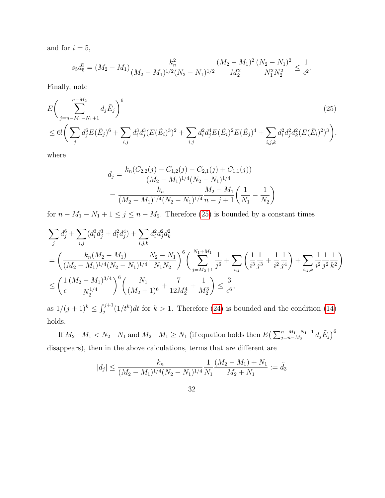and for  $i = 5$ ,

$$
s_5\tilde{d}_5^2 = (M_2 - M_1) \frac{k_n^2}{(M_2 - M_1)^{1/2} (N_2 - N_1)^{1/2}} \frac{(M_2 - M_1)^2}{M_2^2} \frac{(N_2 - N_1)^2}{N_1^2 N_2^2} \le \frac{1}{\epsilon^2}.
$$

Finally, note

$$
E\left(\sum_{j=n-M_{1}-N_{1}+1}^{n-M_{2}} d_{j} \tilde{E}_{j}\right)^{6} \tag{25}
$$
  

$$
\leq 6!\left(\sum_{j} d_{j}^{6} E(\tilde{E}_{j})^{6} + \sum_{i,j} d_{i}^{3} d_{j}^{3} (E(\tilde{E}_{i})^{3})^{2} + \sum_{i,j} d_{i}^{2} d_{j}^{4} E(\tilde{E}_{i})^{2} E(\tilde{E}_{j})^{4} + \sum_{i,j,k} d_{i}^{2} d_{j}^{2} d_{k}^{2} (E(\tilde{E}_{i})^{2})^{3}\right),
$$

where

<span id="page-31-0"></span>
$$
d_j = \frac{k_n(C_{2,2}(j) - C_{1,2}(j) - C_{2,1}(j) + C_{1,1}(j))}{(M_2 - M_1)^{1/4}(N_2 - N_1)^{1/4}}
$$
  
= 
$$
\frac{k_n}{(M_2 - M_1)^{1/4}(N_2 - N_1)^{1/4}} \frac{M_2 - M_1}{n - j + 1} \left(\frac{1}{N_1} - \frac{1}{N_2}\right)
$$

for  $n - M_1 - N_1 + 1 \le j \le n - M_2$ . Therefore [\(25\)](#page-31-0) is bounded by a constant times

$$
\sum_{j} d_j^6 + \sum_{i,j} (d_i^3 d_j^3 + d_i^2 d_j^4) + \sum_{i,j,k} d_i^2 d_j^2 d_k^2
$$
\n
$$
= \left( \frac{k_n (M_2 - M_1)}{(M_2 - M_1)^{1/4} (N_2 - N_1)^{1/4}} \frac{N_2 - N_1}{N_1 N_2} \right)^6 \left( \sum_{j=M_2+1}^{N_1+M_1} \frac{1}{j^6} + \sum_{i,j} \left( \frac{1}{i^3} \frac{1}{j^3} + \frac{1}{i^2} \frac{1}{j^4} \right) + \sum_{i,j,k} \frac{1}{i^2} \frac{1}{j^2} \frac{1}{k^2} \right)
$$
\n
$$
\leq \left( \frac{1}{\epsilon} \frac{(M_2 - M_1)^{3/4}}{N_2^{1/4}} \right)^6 \left( \frac{N_1}{(M_2+1)^6} + \frac{7}{12 M_2^4} + \frac{1}{M_2^3} \right) \leq \frac{3}{\epsilon^6},
$$

as  $1/(j+1)^k \leq \int_j^{j+1} (1/t^k) dt$  for  $k > 1$ . Therefore [\(24\)](#page-30-0) is bounded and the condition [\(14\)](#page-27-0) holds.

If  $M_2 - M_1 < N_2 - N_1$  and  $M_2 - M_1 \ge N_1$  (if equation holds then  $E\left(\sum_{j=n-M_2}^{n-M_1-N_1+1} d_j \tilde{E}_j\right)^6$ disappears), then in the above calculations, terms that are different are

$$
|d_j| \le \frac{k_n}{(M_2 - M_1)^{1/4}(N_2 - N_1)^{1/4}} \frac{1}{N_1} \frac{(M_2 - M_1) + N_1}{M_2 + N_1} := \tilde{d}_3
$$

32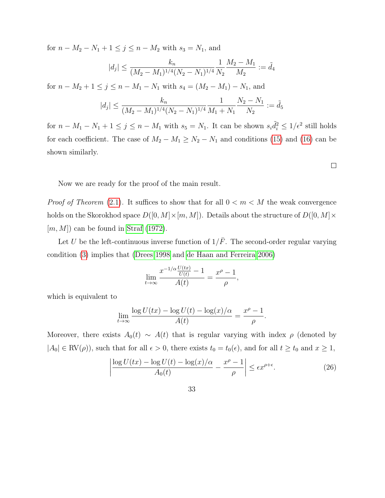for  $n - M_2 - N_1 + 1 \le j \le n - M_2$  with  $s_3 = N_1$ , and

$$
|d_j| \le \frac{k_n}{(M_2 - M_1)^{1/4}(N_2 - N_1)^{1/4}} \frac{1}{N_2} \frac{M_2 - M_1}{M_2} := \tilde{d}_4
$$

for  $n - M_2 + 1 \le j \le n - M_1 - N_1$  with  $s_4 = (M_2 - M_1) - N_1$ , and

$$
|d_j| \le \frac{k_n}{(M_2 - M_1)^{1/4}(N_2 - N_1)^{1/4}} \frac{1}{M_1 + N_1} \frac{N_2 - N_1}{N_2} := \tilde{d}_5
$$

for  $n - M_1 - N_1 + 1 \le j \le n - M_1$  with  $s_5 = N_1$ . It can be shown  $s_i \tilde{d}_i^2 \le 1/\epsilon^2$  still holds for each coefficient. The case of  $M_2 - M_1 \ge N_2 - N_1$  and conditions [\(15\)](#page-27-1) and [\(16\)](#page-27-2) can be shown similarly.

Now we are ready for the proof of the main result.

*Proof of Theorem* [\(2.1\)](#page-7-0). It suffices to show that for all  $0 < m < M$  the weak convergence holds on the Skorokhod space  $D([0, M] \times [m, M])$ . Details about the structure of  $D([0, M] \times$  $[m, M]$  can be found in [Straf](#page-39-7) [\(1972\)](#page-39-7).

Let U be the left-continuous inverse function of  $1/\bar{F}$ . The second-order regular varying condition [\(3\)](#page-6-2) implies that [\(Drees 1998](#page-39-4) and [de Haan and Ferreira 2006\)](#page-39-2)

$$
\lim_{t \to \infty} \frac{x^{-1/\alpha} \frac{U(tx)}{U(t)} - 1}{A(t)} = \frac{x^{\rho} - 1}{\rho},
$$

which is equivalent to

$$
\lim_{t \to \infty} \frac{\log U(tx) - \log U(t) - \log(x)/\alpha}{A(t)} = \frac{x^{\rho} - 1}{\rho}.
$$

Moreover, there exists  $A_0(t) \sim A(t)$  that is regular varying with index  $\rho$  (denoted by  $|A_0| \in \text{RV}(\rho)$ , such that for all  $\epsilon > 0$ , there exists  $t_0 = t_0(\epsilon)$ , and for all  $t \ge t_0$  and  $x \ge 1$ ,

<span id="page-32-0"></span>
$$
\left| \frac{\log U(tx) - \log U(t) - \log(x)/\alpha}{A_0(t)} - \frac{x^{\rho} - 1}{\rho} \right| \le \epsilon x^{\rho + \epsilon}.
$$
 (26)

33

 $\Box$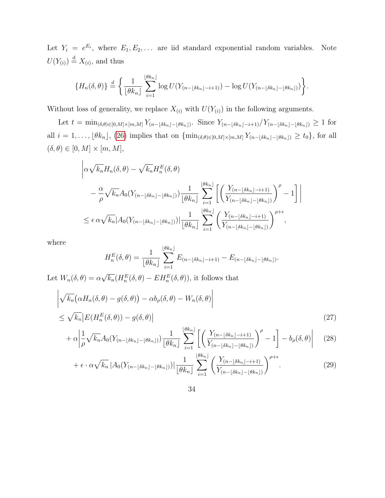Let  $Y_i = e^{E_i}$ , where  $E_1, E_2, \ldots$  are iid standard exponential random variables. Note  $U(Y_{(i)}) \stackrel{\rm d}{=} X_{(i)}$ , and thus

$$
\{H_n(\delta,\theta)\}\stackrel{d}{=}\bigg\{\frac{1}{\lfloor\theta k_n\rfloor}\sum_{i=1}^{\lfloor\theta k_n\rfloor}\log U(Y_{(n-\lfloor\delta k_n\rfloor-i+1)})-\log U(Y_{(n-\lfloor\delta k_n\rfloor-\lfloor\theta k_n\rfloor)})\bigg\}.
$$

Without loss of generality, we replace  $X_{(i)}$  with  $U(Y_{(i)})$  in the following arguments.

Let  $t = \min_{(\delta,\theta)\in[0,M]\times[m,M]} Y_{(n-\lfloor \delta k_n\rfloor-\lfloor \theta k_n\rfloor)}$ . Since  $Y_{(n-\lfloor \delta k_n\rfloor-i+1)}/Y_{(n-\lfloor \delta k_n\rfloor-\lfloor \theta k_n\rfloor)} \geq 1$  for all  $i = 1, \ldots, \lfloor \theta k_n \rfloor$ , [\(26\)](#page-32-0) implies that on  $\{\min_{(\delta,\theta)\in[0,M]\times[m,M]} Y_{(n-\lfloor \delta k_n\rfloor-\lfloor \theta k_n\rfloor)} \ge t_0\}$ , for all  $(\delta, \theta) \in [0, M] \times [m, M],$ 

$$
\left| \alpha \sqrt{k_n} H_n(\delta, \theta) - \sqrt{k_n} H_n^E(\delta, \theta) \right|
$$
  

$$
- \frac{\alpha}{\rho} \sqrt{k_n} A_0 (Y_{(n - \lfloor \delta k_n \rfloor - \lfloor \theta k_n \rfloor)}) \frac{1}{\lfloor \theta k_n \rfloor} \sum_{i=1}^{\lfloor \theta k_n \rfloor} \left[ \left( \frac{Y_{(n - \lfloor \delta k_n \rfloor - i + 1)}}{Y_{(n - \lfloor \delta k_n \rfloor - \lfloor \theta k_n \rfloor)})} \right)^{\rho} - 1 \right]
$$
  

$$
\leq \epsilon \alpha \sqrt{k_n} |A_0 (Y_{(n - \lfloor \delta k_n \rfloor - \lfloor \theta k_n \rfloor)})| \frac{1}{\lfloor \theta k_n \rfloor} \sum_{i=1}^{\lfloor \theta k_n \rfloor} \left( \frac{Y_{(n - \lfloor \delta k_n \rfloor - i + 1)}}{Y_{(n - \lfloor \delta k_n \rfloor - \lfloor \theta k_n \rfloor)}} \right)^{\rho + \epsilon},
$$

where

<span id="page-33-2"></span><span id="page-33-1"></span><span id="page-33-0"></span>
$$
H_n^E(\delta,\theta) = \frac{1}{\lfloor \theta k_n \rfloor} \sum_{i=1}^{\lfloor \theta k_n \rfloor} E_{(n-\lfloor \delta k_n \rfloor - i+1)} - E_{(n-\lfloor \delta k_n \rfloor - \lfloor \theta k_n \rfloor)}.
$$

Let  $W_n(\delta, \theta) = \alpha$ √  $\overline{k_n}(H_n^E(\delta,\theta) - EH_n^E(\delta,\theta)),$  it follows that

$$
\left| \sqrt{k_n} \big( \alpha H_n(\delta, \theta) - g(\delta, \theta) \big) - \alpha b_\rho(\delta, \theta) - W_n(\delta, \theta) \right|
$$
  
 
$$
\leq \sqrt{k_n} \left| E(H_n^E(\delta, \theta)) - g(\delta, \theta) \right|
$$
 (27)

$$
+ \alpha \left| \frac{1}{\rho} \sqrt{k_n} A_0 (Y_{(n-\lfloor \delta k_n \rfloor - \lfloor \theta k_n \rfloor)}) \frac{1}{\lfloor \theta k_n \rfloor} \sum_{i=1}^{\lfloor \theta k_n \rfloor} \left[ \left( \frac{Y_{(n-\lfloor \delta k_n \rfloor - i+1)}}{Y_{(n-\lfloor \delta k_n \rfloor - \lfloor \theta k_n \rfloor)}} \right)^{\rho} - 1 \right] - b_{\rho}(\delta, \theta) \right] \tag{28}
$$

$$
+\epsilon \cdot \alpha \sqrt{k_n} \left| A_0(Y_{(n-\lfloor \delta k_n \rfloor - \lfloor \theta k_n \rfloor)}) \right| \frac{1}{\lfloor \theta k_n \rfloor} \sum_{i=1}^{\lfloor \theta k_n \rfloor} \left( \frac{Y_{(n-\lfloor \delta k_n \rfloor - i+1)}}{Y_{(n-\lfloor \delta k_n \rfloor - \lfloor \theta k_n \rfloor)}} \right)^{\rho+\epsilon}.
$$
 (29)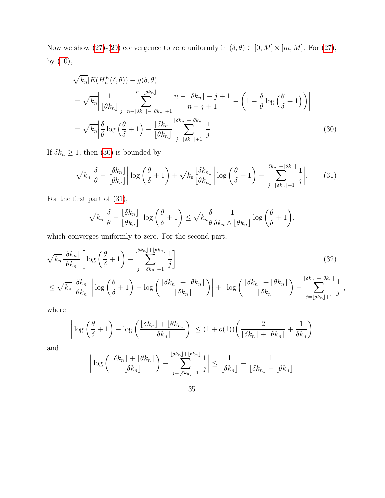Now we show [\(27\)](#page-33-0)-[\(29\)](#page-33-1) convergence to zero uniformly in  $(\delta, \theta) \in [0, M] \times [m, M]$ . For (27), by [\(10\)](#page-24-0),

$$
\sqrt{k_n} |E(H_n^E(\delta, \theta)) - g(\delta, \theta)|
$$
  
=  $\sqrt{k_n} \left| \frac{1}{\lfloor \theta k_n \rfloor} \sum_{j=n-\lfloor \delta k_n \rfloor - \lfloor \theta k_n \rfloor + 1}^{n-\lfloor \delta k_n \rfloor} \frac{n - \lfloor \delta k_n \rfloor - j + 1}{n - j + 1} - \left( 1 - \frac{\delta}{\theta} \log \left( \frac{\theta}{\delta} + 1 \right) \right) \right|$   
=  $\sqrt{k_n} \left| \frac{\delta}{\theta} \log \left( \frac{\theta}{\delta} + 1 \right) - \frac{\lfloor \delta k_n \rfloor}{\lfloor \theta k_n \rfloor} \sum_{j=\lfloor \delta k_n \rfloor + 1}^{\lfloor \delta k_n \rfloor + \lfloor \theta k_n \rfloor} \frac{1}{j} \right|.$  (30)

If  $\delta k_n \geq 1$ , then [\(30\)](#page-34-0) is bounded by

<span id="page-34-1"></span><span id="page-34-0"></span>
$$
\sqrt{k_n} \left| \frac{\delta}{\theta} - \frac{\lfloor \delta k_n \rfloor}{\lfloor \theta k_n \rfloor} \right| \log \left( \frac{\theta}{\delta} + 1 \right) + \sqrt{k_n} \frac{\lfloor \delta k_n \rfloor}{\lfloor \theta k_n \rfloor} \left| \log \left( \frac{\theta}{\delta} + 1 \right) - \sum_{j=\lfloor \delta k_n \rfloor + 1}^{\lfloor \delta k_n \rfloor + \lfloor \theta k_n \rfloor} \frac{1}{j} \right|.
$$
 (31)

For the first part of [\(31\)](#page-34-1),

$$
\sqrt{k_n} \left| \frac{\delta}{\theta} - \frac{\lfloor \delta k_n \rfloor}{\lfloor \theta k_n \rfloor} \right| \log \left( \frac{\theta}{\delta} + 1 \right) \leq \sqrt{k_n} \frac{\delta}{\theta} \frac{1}{\delta k_n \wedge \lfloor \theta k_n \rfloor} \log \left( \frac{\theta}{\delta} + 1 \right),
$$

which converges uniformly to zero. For the second part,

$$
\sqrt{k_n} \frac{\lfloor \delta k_n \rfloor}{\lfloor \theta k_n \rfloor} \left[ \log \left( \frac{\theta}{\delta} + 1 \right) - \sum_{j=\lfloor \delta k_n \rfloor+1}^{\lfloor \delta k_n \rfloor + \lfloor \theta k_n \rfloor} \frac{1}{j} \right] \tag{32}
$$
\n
$$
\leq \sqrt{k_n} \frac{\lfloor \delta k_n \rfloor}{\lfloor \theta k_n \rfloor} \left| \log \left( \frac{\theta}{\delta} + 1 \right) - \log \left( \frac{\lfloor \delta k_n \rfloor + \lfloor \theta k_n \rfloor}{\lfloor \delta k_n \rfloor} \right) \right| + \left| \log \left( \frac{\lfloor \delta k_n \rfloor + \lfloor \theta k_n \rfloor}{\lfloor \delta k_n \rfloor} \right) - \sum_{j=\lfloor \delta k_n \rfloor+1}^{\lfloor \delta k_n \rfloor + \lfloor \theta k_n \rfloor} \frac{1}{j} \right|,
$$

where

$$
\left| \log \left( \frac{\theta}{\delta} + 1 \right) - \log \left( \frac{\lfloor \delta k_n \rfloor + \lfloor \theta k_n \rfloor}{\lfloor \delta k_n \rfloor} \right) \right| \le (1 + o(1)) \left( \frac{2}{\lfloor \delta k_n \rfloor + \lfloor \theta k_n \rfloor} + \frac{1}{\delta k_n} \right)
$$

and

$$
\left| \log \left( \frac{\lfloor \delta k_n \rfloor + \lfloor \theta k_n \rfloor}{\lfloor \delta k_n \rfloor} \right) - \sum_{j=\lfloor \delta k_n \rfloor + 1}^{\lfloor \delta k_n \rfloor + \lfloor \theta k_n \rfloor} \frac{1}{j} \right| \le \frac{1}{\lfloor \delta k_n \rfloor} - \frac{1}{\lfloor \delta k_n \rfloor + \lfloor \theta k_n \rfloor}
$$

<span id="page-34-2"></span>
$$
35\,
$$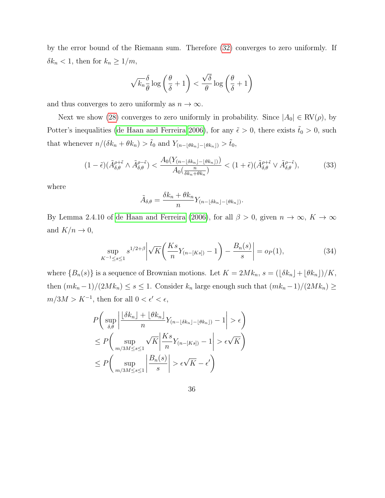by the error bound of the Riemann sum. Therefore [\(32\)](#page-34-2) converges to zero uniformly. If  $\delta k_n < 1$ , then for  $k_n \geq 1/m$ ,

$$
\sqrt{k_n}\frac{\delta}{\theta}\log\left(\frac{\theta}{\delta}+1\right) < \frac{\sqrt{\delta}}{\theta}\log\left(\frac{\theta}{\delta}+1\right)
$$

and thus converges to zero uniformly as  $n \to \infty$ .

Next we show [\(28\)](#page-33-2) converges to zero uniformly in probability. Since  $|A_0| \in \text{RV}(\rho)$ , by Potter's inequalities [\(de Haan and Ferreira 2006\)](#page-39-2), for any  $\tilde{\epsilon} > 0$ , there exists  $\tilde{t}_0 > 0$ , such that whenever  $n/(\delta k_n + \theta k_n) > \tilde{t}_0$  and  $Y_{(n-\lfloor \theta k_n \rfloor - \lfloor \theta k_n \rfloor)} > \tilde{t}_0$ ,

<span id="page-35-1"></span>
$$
(1 - \tilde{\epsilon})(\tilde{A}_{\delta,\theta}^{\rho+\tilde{\epsilon}} \wedge \tilde{A}_{\delta,\theta}^{\rho-\tilde{\epsilon}}) < \frac{A_0(Y_{(n-\lfloor \delta k_n \rfloor - \lfloor \theta k_n \rfloor)})}{A_0(\frac{n}{\delta k_n + \theta k_n})} < (1 + \tilde{\epsilon})(\tilde{A}_{\delta,\theta}^{\rho+\tilde{\epsilon}} \vee \tilde{A}_{\delta,\theta}^{\rho-\tilde{\epsilon}}), \tag{33}
$$

where

$$
\tilde{A}_{\delta,\theta} = \frac{\delta k_n + \theta k_n}{n} Y_{(n - \lfloor \delta k_n \rfloor - \lfloor \theta k_n \rfloor)}.
$$

By Lemma 2.4.10 of [de Haan and Ferreira](#page-39-2) [\(2006\)](#page-39-2), for all  $\beta > 0$ , given  $n \to \infty$ ,  $K \to \infty$ and  $K/n \to 0$ ,

<span id="page-35-0"></span>
$$
\sup_{K^{-1} \le s \le 1} s^{1/2 + \beta} \left| \sqrt{K} \left( \frac{Ks}{n} Y_{(n - [Ks])} - 1 \right) - \frac{B_n(s)}{s} \right| = o_P(1),\tag{34}
$$

where  $\{B_n(s)\}\$ is a sequence of Brownian motions. Let  $K = 2Mk_n$ ,  $s = (\lfloor \delta k_n \rfloor + \lfloor \theta k_n \rfloor)/K$ , then  $(mk_n-1)/(2Mk_n) \le s \le 1$ . Consider  $k_n$  large enough such that  $(mk_n-1)/(2Mk_n) \ge$  $m/3M > K^{-1}$ , then for all  $0 < \epsilon' < \epsilon$ ,

$$
P\left(\sup_{\delta,\theta} \left|\frac{\lfloor \delta k_n \rfloor + \lfloor \theta k_n \rfloor}{n} Y_{(n-\lfloor \delta k_n \rfloor - \lfloor \theta k_n \rfloor)} - 1\right| > \epsilon\right)
$$
  

$$
\leq P\left(\sup_{m/3M \leq s \leq 1} \sqrt{K} \left|\frac{Ks}{n} Y_{(n-[Ks])} - 1\right| > \epsilon \sqrt{K}\right)
$$
  

$$
\leq P\left(\sup_{m/3M \leq s \leq 1} \left|\frac{B_n(s)}{s}\right| > \epsilon \sqrt{K} - \epsilon'\right)
$$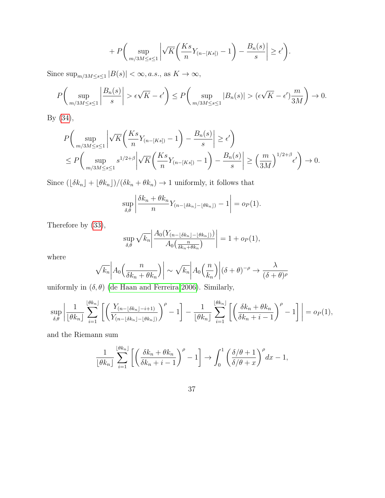$$
+ P\bigg(\sup_{m/3M\leq s\leq 1}\bigg|\sqrt{K}\bigg(\frac{Ks}{n}Y_{(n-[Ks])}-1\bigg)-\frac{B_n(s)}{s}\bigg|\geq \epsilon'\bigg).
$$

Since  $\sup_{m/3M\leq s\leq 1}|B(s)|<\infty$ , a.s., as  $K\to\infty$ ,

$$
P\left(\sup_{m/3M\leq s\leq 1}\left|\frac{B_n(s)}{s}\right|>\epsilon\sqrt{K}-\epsilon'\right)\leq P\left(\sup_{m/3M\leq s\leq 1}|B_n(s)|>(\epsilon\sqrt{K}-\epsilon')\frac{m}{3M}\right)\to 0.
$$

By [\(34\)](#page-35-0),

$$
P\left(\sup_{m/3M\leq s\leq 1} \left|\sqrt{K}\left(\frac{Ks}{n}Y_{(n-[Ks])}-1\right)-\frac{B_n(s)}{s}\right| \geq \epsilon'\right)
$$
  

$$
\leq P\left(\sup_{m/3M\leq s\leq 1} s^{1/2+\beta} \left|\sqrt{K}\left(\frac{Ks}{n}Y_{(n-[Ks])}-1\right)-\frac{B_n(s)}{s}\right| \geq \left(\frac{m}{3M}\right)^{1/2+\beta} \epsilon'\right) \to 0.
$$

Since  $(\lfloor\delta k_n\rfloor + \lfloor\theta k_n\rfloor)/(\delta k_n + \theta k_n) \to 1$  uniformly, it follows that

$$
\sup_{\delta,\theta} \left| \frac{\delta k_n + \theta k_n}{n} Y_{(n-\lfloor \delta k_n \rfloor - \lfloor \theta k_n \rfloor)} - 1 \right| = o_P(1).
$$

Therefore by [\(33\)](#page-35-1),

$$
\sup_{\delta,\theta} \sqrt{k_n} \left| \frac{A_0(Y_{(n-\lfloor \delta k_n \rfloor - \lfloor \theta k_n \rfloor)})}{A_0(\frac{n}{\delta k_n + \theta k_n})} \right| = 1 + o_P(1),
$$

where

$$
\sqrt{k_n}\left|A_0\left(\frac{n}{\delta k_n + \theta k_n}\right)\right| \sim \sqrt{k_n}\left|A_0\left(\frac{n}{k_n}\right)\right|(\delta + \theta)^{-\rho} \to \frac{\lambda}{(\delta + \theta)^{\rho}}
$$

uniformly in  $(\delta, \theta)$  [\(de Haan and Ferreira 2006\)](#page-39-2). Similarly,

$$
\sup_{\delta,\theta} \left| \frac{1}{\lfloor \theta k_n \rfloor} \sum_{i=1}^{\lfloor \theta k_n \rfloor} \left[ \left( \frac{Y_{(n-\lfloor \delta k_n \rfloor - i+1)}}{Y_{(n-\lfloor \delta k_n \rfloor - \lfloor \theta k_n \rfloor)}} \right)^{\rho} - 1 \right] - \frac{1}{\lfloor \theta k_n \rfloor} \sum_{i=1}^{\lfloor \theta k_n \rfloor} \left[ \left( \frac{\delta k_n + \theta k_n}{\delta k_n + i - 1} \right)^{\rho} - 1 \right] \right| = o_P(1),
$$

and the Riemann sum

$$
\frac{1}{\lfloor \theta k_n \rfloor} \sum_{i=1}^{\lfloor \theta k_n \rfloor} \left[ \left( \frac{\delta k_n + \theta k_n}{\delta k_n + i - 1} \right)^{\rho} - 1 \right] \to \int_0^1 \left( \frac{\delta/\theta + 1}{\delta/\theta + x} \right)^{\rho} dx - 1,
$$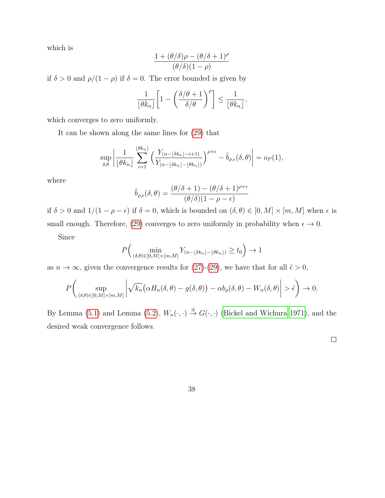which is

$$
\frac{1+(\theta/\delta)\rho-(\theta/\delta+1)^{\rho}}{(\theta/\delta)(1-\rho)}
$$

if  $\delta > 0$  and  $\rho/(1 - \rho)$  if  $\delta = 0$ . The error bounded is given by

$$
\frac{1}{\lfloor \theta k_n \rfloor} \left[ 1 - \left( \frac{\delta/\theta + 1}{\delta/\theta} \right)^{\rho} \right] \le \frac{1}{\lfloor \theta k_n \rfloor},
$$

which converges to zero uniformly.

It can be shown along the same lines for [\(29\)](#page-33-1) that

$$
\sup_{\delta,\theta} \left| \frac{1}{\lfloor \theta k_n \rfloor} \sum_{i=1}^{\lfloor \theta k_n \rfloor} \left( \frac{Y_{(n-\lfloor \delta k_n \rfloor - i + 1)}}{Y_{(n-\lfloor \delta k_n \rfloor - \lfloor \theta k_n \rfloor)}} \right)^{\rho+\epsilon} - \tilde{b}_{\rho,\epsilon}(\delta,\theta) \right| = o_P(1),
$$

where

$$
\tilde{b}_{\rho,\epsilon}(\delta,\theta) = \frac{(\theta/\delta+1)-(\theta/\delta+1)^{\rho+\epsilon}}{(\theta/\delta)(1-\rho-\epsilon)}
$$

if  $\delta > 0$  and  $1/(1 - \rho - \epsilon)$  if  $\delta = 0$ , which is bounded on  $(\delta, \theta) \in [0, M] \times [m, M]$  when  $\epsilon$  is small enough. Therefore, [\(29\)](#page-33-1) converges to zero uniformly in probability when  $\epsilon \to 0$ .

Since

$$
P\Big(\min_{(\delta,\theta)\in[0,M]\times[m,M]}Y_{(n-\lfloor\delta k_n\rfloor-\lfloor\theta k_n\rfloor)}\geq t_0\Big)\to 1
$$

as  $n \to \infty$ , given the convergence results for [\(27\)](#page-33-0)-[\(29\)](#page-33-1), we have that for all  $\tilde{\epsilon} > 0$ ,

$$
P\bigg(\sup_{(\delta,\theta)\in[0,M]\times[m,M]}\bigg|\sqrt{k_n}\big(\alpha H_n(\delta,\theta)-g(\delta,\theta)\big)-\alpha b_\rho(\delta,\theta)-W_n(\delta,\theta)\bigg|>\tilde{\epsilon}\bigg)\to 0.
$$

By Lemma [\(5.1\)](#page-24-1) and Lemma [\(5.2\)](#page-27-3),  $W_n(\cdot, \cdot) \stackrel{d}{\rightarrow} G(\cdot, \cdot)$  [\(Bickel and Wichura 1971\)](#page-38-5), and the desired weak convergence follows.

 $\Box$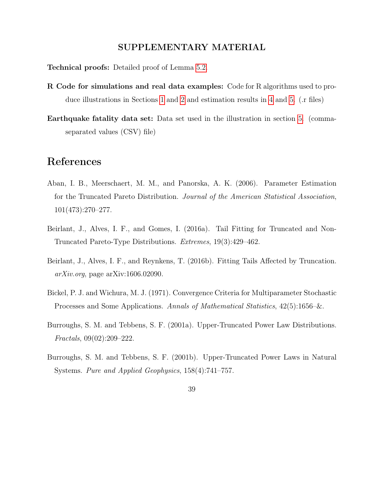#### SUPPLEMENTARY MATERIAL

Technical proofs: Detailed proof of Lemma [5.2.](#page-27-3)

- R Code for simulations and real data examples: Code for R algorithms used to produce illustrations in Sections [1](#page-2-1) and [2](#page-6-0) and estimation results in [4](#page-13-0) and [5.](#page-19-0) (.r files)
- Earthquake fatality data set: Data set used in the illustration in section [5.](#page-19-0) (commaseparated values (CSV) file)

### References

- <span id="page-38-0"></span>Aban, I. B., Meerschaert, M. M., and Panorska, A. K. (2006). Parameter Estimation for the Truncated Pareto Distribution. Journal of the American Statistical Association, 101(473):270–277.
- <span id="page-38-1"></span>Beirlant, J., Alves, I. F., and Gomes, I. (2016a). Tail Fitting for Truncated and Non-Truncated Pareto-Type Distributions. Extremes, 19(3):429–462.
- <span id="page-38-2"></span>Beirlant, J., Alves, I. F., and Reynkens, T. (2016b). Fitting Tails Affected by Truncation.  $arXiv.org$ , page  $arXiv:1606.02090$ .
- <span id="page-38-5"></span>Bickel, P. J. and Wichura, M. J. (1971). Convergence Criteria for Multiparameter Stochastic Processes and Some Applications. Annals of Mathematical Statistics, 42(5):1656–&.
- <span id="page-38-3"></span>Burroughs, S. M. and Tebbens, S. F. (2001a). Upper-Truncated Power Law Distributions. Fractals, 09(02):209–222.
- <span id="page-38-4"></span>Burroughs, S. M. and Tebbens, S. F. (2001b). Upper-Truncated Power Laws in Natural Systems. Pure and Applied Geophysics, 158(4):741–757.